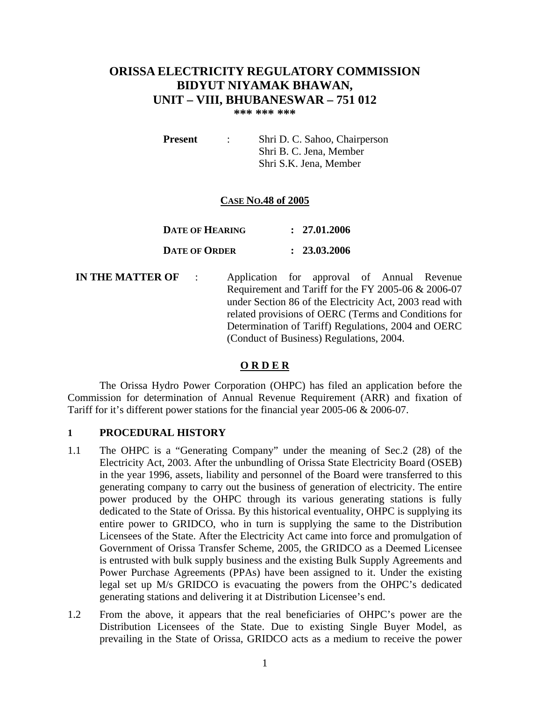# **ORISSA ELECTRICITY REGULATORY COMMISSION BIDYUT NIYAMAK BHAWAN, UNIT – VIII, BHUBANESWAR – 751 012**

**\*\*\* \*\*\* \*\*\*** 

**Present** : Shri D. C. Sahoo, Chairperson Shri B. C. Jena, Member Shri S.K. Jena, Member

## **CASE NO.48 of 2005**

| DATE OF HEARING      | : 27.01.2006 |
|----------------------|--------------|
| <b>DATE OF ORDER</b> | : 23.03.2006 |

**IN THE MATTER OF** : Application for approval of Annual Revenue Requirement and Tariff for the FY 2005-06 & 2006-07 under Section 86 of the Electricity Act, 2003 read with related provisions of OERC (Terms and Conditions for Determination of Tariff) Regulations, 2004 and OERC (Conduct of Business) Regulations, 2004.

## **O R D E R**

The Orissa Hydro Power Corporation (OHPC) has filed an application before the Commission for determination of Annual Revenue Requirement (ARR) and fixation of Tariff for it's different power stations for the financial year 2005-06 & 2006-07.

#### **1 PROCEDURAL HISTORY**

- 1.1 The OHPC is a "Generating Company" under the meaning of Sec.2 (28) of the Electricity Act, 2003. After the unbundling of Orissa State Electricity Board (OSEB) in the year 1996, assets, liability and personnel of the Board were transferred to this generating company to carry out the business of generation of electricity. The entire power produced by the OHPC through its various generating stations is fully dedicated to the State of Orissa. By this historical eventuality, OHPC is supplying its entire power to GRIDCO, who in turn is supplying the same to the Distribution Licensees of the State. After the Electricity Act came into force and promulgation of Government of Orissa Transfer Scheme, 2005, the GRIDCO as a Deemed Licensee is entrusted with bulk supply business and the existing Bulk Supply Agreements and Power Purchase Agreements (PPAs) have been assigned to it. Under the existing legal set up M/s GRIDCO is evacuating the powers from the OHPC's dedicated generating stations and delivering it at Distribution Licensee's end.
- 1.2 From the above, it appears that the real beneficiaries of OHPC's power are the Distribution Licensees of the State. Due to existing Single Buyer Model, as prevailing in the State of Orissa, GRIDCO acts as a medium to receive the power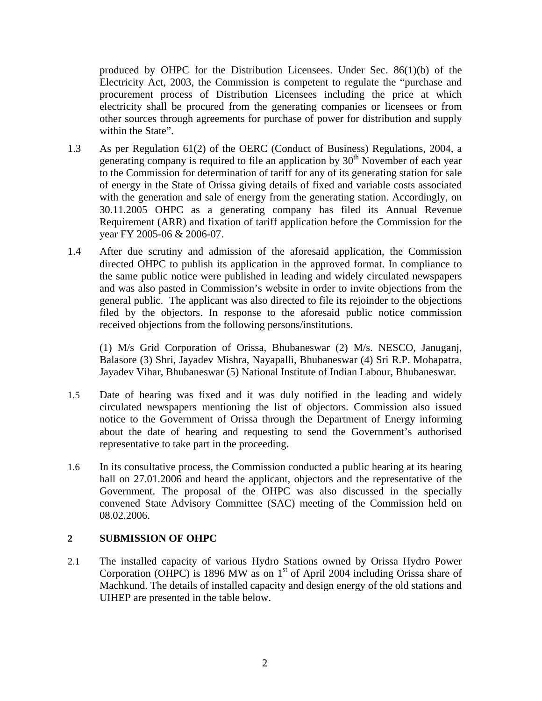produced by OHPC for the Distribution Licensees. Under Sec.  $86(1)(b)$  of the Electricity Act, 2003, the Commission is competent to regulate the "purchase and procurement process of Distribution Licensees including the price at which electricity shall be procured from the generating companies or licensees or from other sources through agreements for purchase of power for distribution and supply within the State".

- 1.3 As per Regulation 61(2) of the OERC (Conduct of Business) Regulations, 2004, a generating company is required to file an application by  $30<sup>th</sup>$  November of each year to the Commission for determination of tariff for any of its generating station for sale of energy in the State of Orissa giving details of fixed and variable costs associated with the generation and sale of energy from the generating station. Accordingly, on 30.11.2005 OHPC as a generating company has filed its Annual Revenue Requirement (ARR) and fixation of tariff application before the Commission for the year FY 2005-06 & 2006-07.
- 1.4 After due scrutiny and admission of the aforesaid application, the Commission directed OHPC to publish its application in the approved format. In compliance to the same public notice were published in leading and widely circulated newspapers and was also pasted in Commission's website in order to invite objections from the general public. The applicant was also directed to file its rejoinder to the objections filed by the objectors. In response to the aforesaid public notice commission received objections from the following persons/institutions.

(1) M/s Grid Corporation of Orissa, Bhubaneswar (2) M/s. NESCO, Januganj, Balasore (3) Shri, Jayadev Mishra, Nayapalli, Bhubaneswar (4) Sri R.P. Mohapatra, Jayadev Vihar, Bhubaneswar (5) National Institute of Indian Labour, Bhubaneswar.

- 1.5 Date of hearing was fixed and it was duly notified in the leading and widely circulated newspapers mentioning the list of objectors. Commission also issued notice to the Government of Orissa through the Department of Energy informing about the date of hearing and requesting to send the Government's authorised representative to take part in the proceeding.
- 1.6 In its consultative process, the Commission conducted a public hearing at its hearing hall on 27.01.2006 and heard the applicant, objectors and the representative of the Government. The proposal of the OHPC was also discussed in the specially convened State Advisory Committee (SAC) meeting of the Commission held on 08.02.2006.

# **2 SUBMISSION OF OHPC**

2.1 The installed capacity of various Hydro Stations owned by Orissa Hydro Power Corporation (OHPC) is 1896 MW as on  $1<sup>st</sup>$  of April 2004 including Orissa share of Machkund. The details of installed capacity and design energy of the old stations and UIHEP are presented in the table below.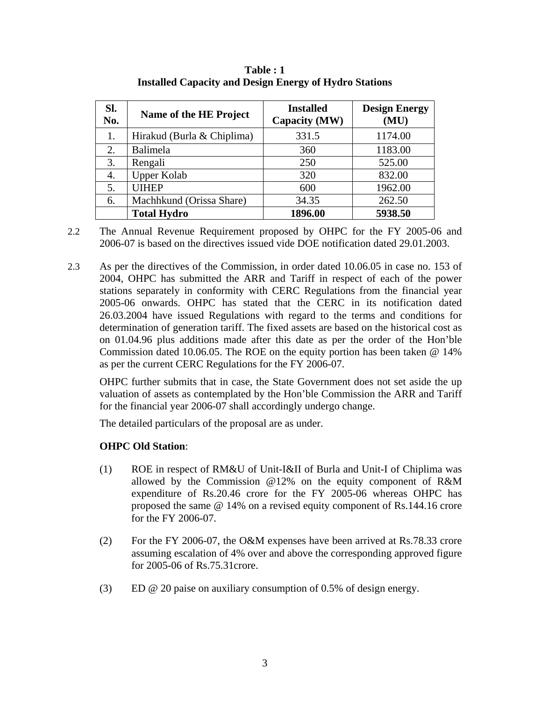| Sl.<br>No. | Name of the HE Project     | <b>Installed</b><br>Capacity (MW) | <b>Design Energy</b><br>(MU) |
|------------|----------------------------|-----------------------------------|------------------------------|
|            | Hirakud (Burla & Chiplima) | 331.5                             | 1174.00                      |
| 2.         | Balimela                   | 360                               | 1183.00                      |
| 3.         | Rengali                    | 250                               | 525.00                       |
| 4.         | <b>Upper Kolab</b>         | 320                               | 832.00                       |
| 5.         | <b>UIHEP</b>               | 600                               | 1962.00                      |
| 6.         | Machhkund (Orissa Share)   | 34.35                             | 262.50                       |
|            | <b>Total Hydro</b>         | 1896.00                           | 5938.50                      |

**Table : 1 Installed Capacity and Design Energy of Hydro Stations** 

2.2 The Annual Revenue Requirement proposed by OHPC for the FY 2005-06 and 2006-07 is based on the directives issued vide DOE notification dated 29.01.2003.

2.3 As per the directives of the Commission, in order dated 10.06.05 in case no. 153 of 2004, OHPC has submitted the ARR and Tariff in respect of each of the power stations separately in conformity with CERC Regulations from the financial year 2005-06 onwards. OHPC has stated that the CERC in its notification dated 26.03.2004 have issued Regulations with regard to the terms and conditions for determination of generation tariff. The fixed assets are based on the historical cost as on 01.04.96 plus additions made after this date as per the order of the Hon'ble Commission dated 10.06.05. The ROE on the equity portion has been taken @ 14% as per the current CERC Regulations for the FY 2006-07.

OHPC further submits that in case, the State Government does not set aside the up valuation of assets as contemplated by the Hon'ble Commission the ARR and Tariff for the financial year 2006-07 shall accordingly undergo change.

The detailed particulars of the proposal are as under.

# **OHPC Old Station**:

- (1) ROE in respect of RM&U of Unit-I&II of Burla and Unit-I of Chiplima was allowed by the Commission @12% on the equity component of R&M expenditure of Rs.20.46 crore for the FY 2005-06 whereas OHPC has proposed the same @ 14% on a revised equity component of Rs.144.16 crore for the FY 2006-07.
- (2) For the FY 2006-07, the O&M expenses have been arrived at Rs.78.33 crore assuming escalation of 4% over and above the corresponding approved figure for 2005-06 of Rs.75.31crore.
- (3) ED @ 20 paise on auxiliary consumption of 0.5% of design energy.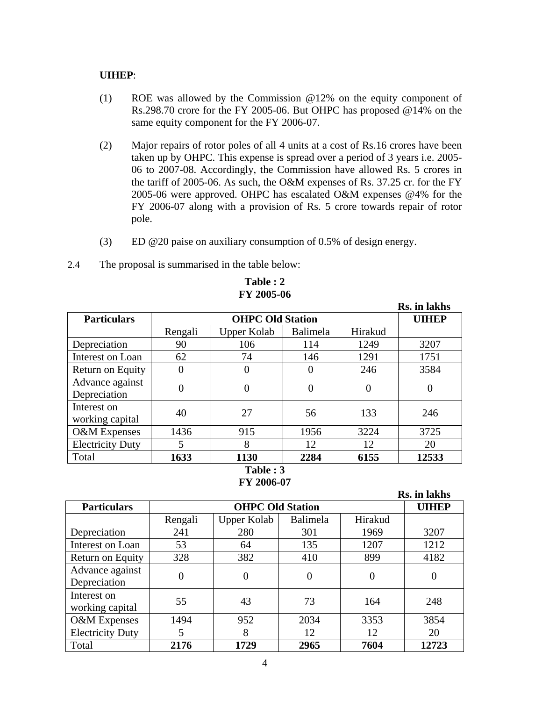## **UIHEP**:

- (1) ROE was allowed by the Commission @12% on the equity component of Rs.298.70 crore for the FY 2005-06. But OHPC has proposed @14% on the same equity component for the FY 2006-07.
- (2) Major repairs of rotor poles of all 4 units at a cost of Rs.16 crores have been taken up by OHPC. This expense is spread over a period of 3 years i.e. 2005- 06 to 2007-08. Accordingly, the Commission have allowed Rs. 5 crores in the tariff of 2005-06. As such, the O&M expenses of Rs. 37.25 cr. for the FY 2005-06 were approved. OHPC has escalated O&M expenses @4% for the FY 2006-07 along with a provision of Rs. 5 crore towards repair of rotor pole.
- (3) ED @20 paise on auxiliary consumption of 0.5% of design energy.
- 2.4 The proposal is summarised in the table below:

|                                |         |                         |          |          | Rs. in lakhs |
|--------------------------------|---------|-------------------------|----------|----------|--------------|
| <b>Particulars</b>             |         | <b>OHPC Old Station</b> |          |          | <b>UIHEP</b> |
|                                | Rengali | <b>Upper Kolab</b>      | Balimela | Hirakud  |              |
| Depreciation                   | 90      | 106                     | 114      | 1249     | 3207         |
| Interest on Loan               | 62      | 74                      | 146      | 1291     | 1751         |
| Return on Equity               | 0       | O                       | O        | 246      | 3584         |
| Advance against                | 0       | 0                       | 0        | $\theta$ | 0            |
| Depreciation                   |         |                         |          |          |              |
| Interest on<br>working capital | 40      | 27                      | 56       | 133      | 246          |
| O&M Expenses                   | 1436    | 915                     | 1956     | 3224     | 3725         |
| <b>Electricity Duty</b>        | 5       | 8                       | 12       | 12       | 20           |
| Total                          | 1633    | 1130                    | 2284     | 6155     | 12533        |
| Table: 3                       |         |                         |          |          |              |

### **Table : 2 FY 2005-06**

**FY 2006-07** 

|                                 |          |                         |          |          | Rs. in lakhs |
|---------------------------------|----------|-------------------------|----------|----------|--------------|
| <b>Particulars</b>              |          | <b>OHPC Old Station</b> |          |          | <b>UIHEP</b> |
|                                 | Rengali  | <b>Upper Kolab</b>      | Balimela | Hirakud  |              |
| Depreciation                    | 241      | 280                     | 301      | 1969     | 3207         |
| Interest on Loan                | 53       | 64                      | 135      | 1207     | 1212         |
| Return on Equity                | 328      | 382                     | 410      | 899      | 4182         |
| Advance against<br>Depreciation | $\theta$ | $\theta$                | $\theta$ | $\theta$ | $\Omega$     |
| Interest on<br>working capital  | 55       | 43                      | 73       | 164      | 248          |
| O&M Expenses                    | 1494     | 952                     | 2034     | 3353     | 3854         |
| <b>Electricity Duty</b>         | 5        | 8                       | 12       | 12       | 20           |
| Total                           | 2176     | 1729                    | 2965     | 7604     | 12723        |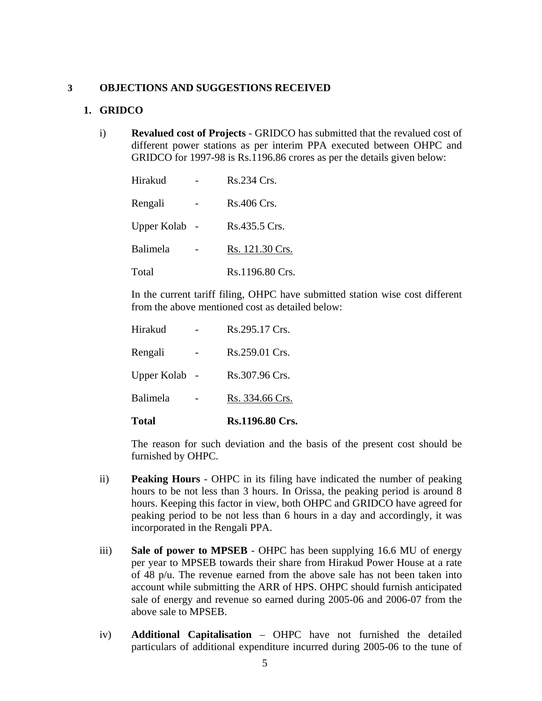## **3 OBJECTIONS AND SUGGESTIONS RECEIVED**

## **1. GRIDCO**

i) **Revalued cost of Projects** - GRIDCO has submitted that the revalued cost of different power stations as per interim PPA executed between OHPC and GRIDCO for 1997-98 is Rs.1196.86 crores as per the details given below:

| Hirakud         | Rs.234 Crs.     |
|-----------------|-----------------|
| Rengali         | Rs.406 Crs.     |
| Upper Kolab     | Rs.435.5 Crs.   |
| <b>Balimela</b> | Rs. 121.30 Crs. |
| Total           | Rs.1196.80 Crs. |

In the current tariff filing, OHPC have submitted station wise cost different from the above mentioned cost as detailed below:

| <b>Total</b>       | Rs.1196.80 Crs. |
|--------------------|-----------------|
| Balimela           | Rs. 334.66 Crs. |
| <b>Upper Kolab</b> | Rs.307.96 Crs.  |
| Rengali            | Rs.259.01 Crs.  |
| Hirakud            | Rs.295.17 Crs.  |

The reason for such deviation and the basis of the present cost should be furnished by OHPC.

- ii) **Peaking Hours** OHPC in its filing have indicated the number of peaking hours to be not less than 3 hours. In Orissa, the peaking period is around 8 hours. Keeping this factor in view, both OHPC and GRIDCO have agreed for peaking period to be not less than 6 hours in a day and accordingly, it was incorporated in the Rengali PPA.
- iii) **Sale of power to MPSEB**  OHPC has been supplying 16.6 MU of energy per year to MPSEB towards their share from Hirakud Power House at a rate of 48 p/u. The revenue earned from the above sale has not been taken into account while submitting the ARR of HPS. OHPC should furnish anticipated sale of energy and revenue so earned during 2005-06 and 2006-07 from the above sale to MPSEB.
- iv) **Additional Capitalisation** OHPC have not furnished the detailed particulars of additional expenditure incurred during 2005-06 to the tune of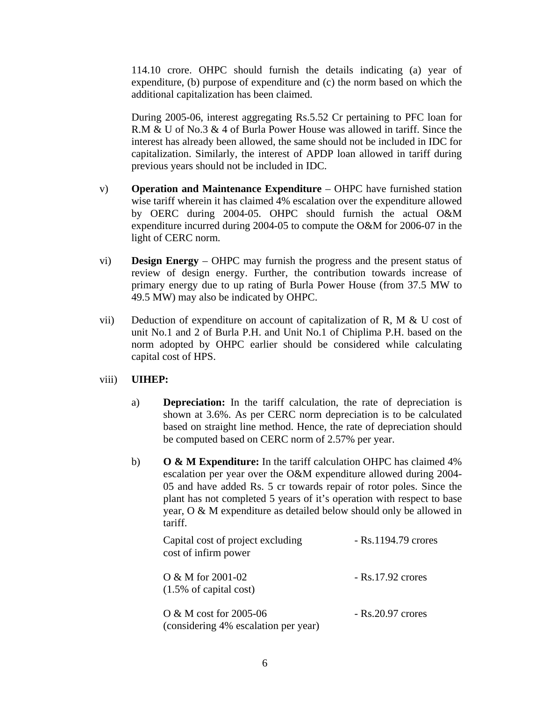114.10 crore. OHPC should furnish the details indicating (a) year of expenditure, (b) purpose of expenditure and (c) the norm based on which the additional capitalization has been claimed.

During 2005-06, interest aggregating Rs.5.52 Cr pertaining to PFC loan for R.M & U of No.3 & 4 of Burla Power House was allowed in tariff. Since the interest has already been allowed, the same should not be included in IDC for capitalization. Similarly, the interest of APDP loan allowed in tariff during previous years should not be included in IDC.

- v) **Operation and Maintenance Expenditure** OHPC have furnished station wise tariff wherein it has claimed 4% escalation over the expenditure allowed by OERC during 2004-05. OHPC should furnish the actual O&M expenditure incurred during 2004-05 to compute the O&M for 2006-07 in the light of CERC norm.
- vi) **Design Energy** OHPC may furnish the progress and the present status of review of design energy. Further, the contribution towards increase of primary energy due to up rating of Burla Power House (from 37.5 MW to 49.5 MW) may also be indicated by OHPC.
- vii) Deduction of expenditure on account of capitalization of R, M  $&$  U cost of unit No.1 and 2 of Burla P.H. and Unit No.1 of Chiplima P.H. based on the norm adopted by OHPC earlier should be considered while calculating capital cost of HPS.
- viii) **UIHEP:** 
	- a) **Depreciation:** In the tariff calculation, the rate of depreciation is shown at 3.6%. As per CERC norm depreciation is to be calculated based on straight line method. Hence, the rate of depreciation should be computed based on CERC norm of 2.57% per year.
	- b) **O & M Expenditure:** In the tariff calculation OHPC has claimed 4% escalation per year over the O&M expenditure allowed during 2004- 05 and have added Rs. 5 cr towards repair of rotor poles. Since the plant has not completed 5 years of it's operation with respect to base year, O & M expenditure as detailed below should only be allowed in tariff.

| Capital cost of project excluding<br>cost of infirm power        | $-Rs.1194.79$ crores |
|------------------------------------------------------------------|----------------------|
| $O & M$ for 2001-02<br>$(1.5\% \text{ of capital cost})$         | $-$ Rs.17.92 crores  |
| O & M cost for $2005-06$<br>(considering 4% escalation per year) | $-$ Rs.20.97 crores  |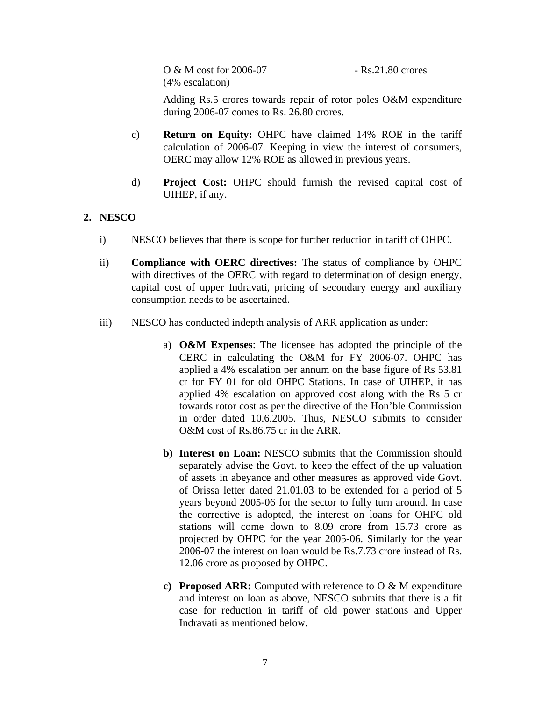O & M cost for 2006-07 - Rs.21.80 crores (4% escalation)

Adding Rs.5 crores towards repair of rotor poles O&M expenditure during 2006-07 comes to Rs. 26.80 crores.

- c) **Return on Equity:** OHPC have claimed 14% ROE in the tariff calculation of 2006-07. Keeping in view the interest of consumers, OERC may allow 12% ROE as allowed in previous years.
- d) **Project Cost:** OHPC should furnish the revised capital cost of UIHEP, if any.

# **2. NESCO**

- i) NESCO believes that there is scope for further reduction in tariff of OHPC.
- ii) **Compliance with OERC directives:** The status of compliance by OHPC with directives of the OERC with regard to determination of design energy, capital cost of upper Indravati, pricing of secondary energy and auxiliary consumption needs to be ascertained.
- iii) NESCO has conducted indepth analysis of ARR application as under:
	- a) **O&M Expenses**: The licensee has adopted the principle of the CERC in calculating the O&M for FY 2006-07. OHPC has applied a 4% escalation per annum on the base figure of Rs 53.81 cr for FY 01 for old OHPC Stations. In case of UIHEP, it has applied 4% escalation on approved cost along with the Rs 5 cr towards rotor cost as per the directive of the Hon'ble Commission in order dated 10.6.2005. Thus, NESCO submits to consider O&M cost of Rs.86.75 cr in the ARR.
	- **b)** Interest on Loan: NESCO submits that the Commission should separately advise the Govt. to keep the effect of the up valuation of assets in abeyance and other measures as approved vide Govt. of Orissa letter dated 21.01.03 to be extended for a period of 5 years beyond 2005-06 for the sector to fully turn around. In case the corrective is adopted, the interest on loans for OHPC old stations will come down to 8.09 crore from 15.73 crore as projected by OHPC for the year 2005-06. Similarly for the year 2006-07 the interest on loan would be Rs.7.73 crore instead of Rs. 12.06 crore as proposed by OHPC.
	- **c) Proposed ARR:** Computed with reference to O & M expenditure and interest on loan as above, NESCO submits that there is a fit case for reduction in tariff of old power stations and Upper Indravati as mentioned below.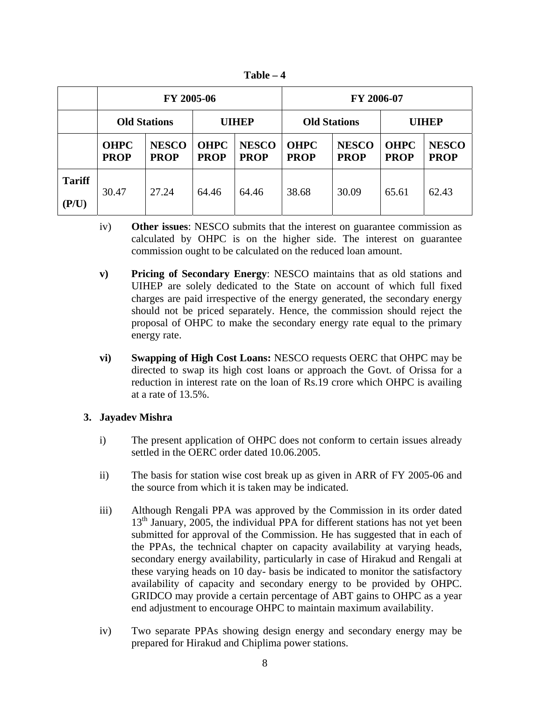**Table – 4** 

|                               | FY 2005-06                 |                             |                            |                             | FY 2006-07                 |                             |                            |                             |
|-------------------------------|----------------------------|-----------------------------|----------------------------|-----------------------------|----------------------------|-----------------------------|----------------------------|-----------------------------|
|                               | <b>Old Stations</b>        |                             | <b>UIHEP</b>               |                             | <b>Old Stations</b>        |                             | <b>UIHEP</b>               |                             |
|                               | <b>OHPC</b><br><b>PROP</b> | <b>NESCO</b><br><b>PROP</b> | <b>OHPC</b><br><b>PROP</b> | <b>NESCO</b><br><b>PROP</b> | <b>OHPC</b><br><b>PROP</b> | <b>NESCO</b><br><b>PROP</b> | <b>OHPC</b><br><b>PROP</b> | <b>NESCO</b><br><b>PROP</b> |
| <b>Tariff</b><br>$($ P/U) $)$ | 30.47                      | 27.24                       | 64.46                      | 64.46                       | 38.68                      | 30.09                       | 65.61                      | 62.43                       |

- iv) **Other issues**: NESCO submits that the interest on guarantee commission as calculated by OHPC is on the higher side. The interest on guarantee commission ought to be calculated on the reduced loan amount.
- **v) Pricing of Secondary Energy**: NESCO maintains that as old stations and UIHEP are solely dedicated to the State on account of which full fixed charges are paid irrespective of the energy generated, the secondary energy should not be priced separately. Hence, the commission should reject the proposal of OHPC to make the secondary energy rate equal to the primary energy rate.
- **vi) Swapping of High Cost Loans:** NESCO requests OERC that OHPC may be directed to swap its high cost loans or approach the Govt. of Orissa for a reduction in interest rate on the loan of Rs.19 crore which OHPC is availing at a rate of 13.5%.

## **3. Jayadev Mishra**

- i) The present application of OHPC does not conform to certain issues already settled in the OERC order dated 10.06.2005.
- ii) The basis for station wise cost break up as given in ARR of FY 2005-06 and the source from which it is taken may be indicated.
- iii) Although Rengali PPA was approved by the Commission in its order dated  $13<sup>th</sup>$  January, 2005, the individual PPA for different stations has not yet been submitted for approval of the Commission. He has suggested that in each of the PPAs, the technical chapter on capacity availability at varying heads, secondary energy availability, particularly in case of Hirakud and Rengali at these varying heads on 10 day- basis be indicated to monitor the satisfactory availability of capacity and secondary energy to be provided by OHPC. GRIDCO may provide a certain percentage of ABT gains to OHPC as a year end adjustment to encourage OHPC to maintain maximum availability.
- iv) Two separate PPAs showing design energy and secondary energy may be prepared for Hirakud and Chiplima power stations.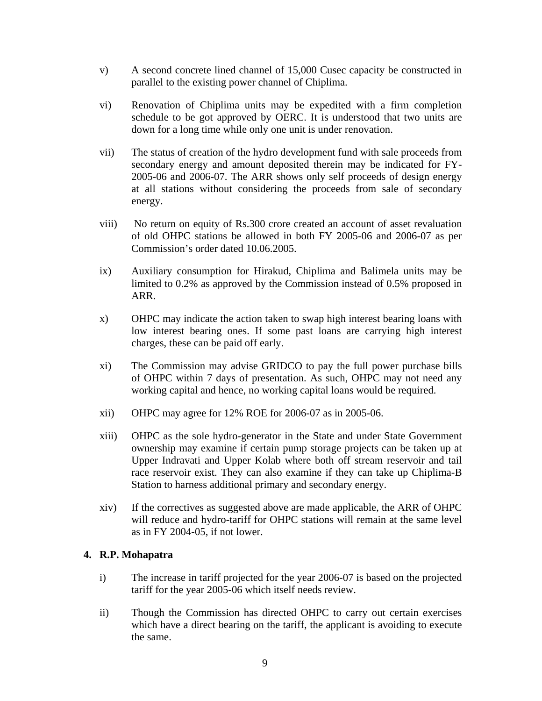- v) A second concrete lined channel of 15,000 Cusec capacity be constructed in parallel to the existing power channel of Chiplima.
- vi) Renovation of Chiplima units may be expedited with a firm completion schedule to be got approved by OERC. It is understood that two units are down for a long time while only one unit is under renovation.
- vii) The status of creation of the hydro development fund with sale proceeds from secondary energy and amount deposited therein may be indicated for FY-2005-06 and 2006-07. The ARR shows only self proceeds of design energy at all stations without considering the proceeds from sale of secondary energy.
- viii) No return on equity of Rs.300 crore created an account of asset revaluation of old OHPC stations be allowed in both FY 2005-06 and 2006-07 as per Commission's order dated 10.06.2005.
- ix) Auxiliary consumption for Hirakud, Chiplima and Balimela units may be limited to 0.2% as approved by the Commission instead of 0.5% proposed in ARR.
- x) OHPC may indicate the action taken to swap high interest bearing loans with low interest bearing ones. If some past loans are carrying high interest charges, these can be paid off early.
- xi) The Commission may advise GRIDCO to pay the full power purchase bills of OHPC within 7 days of presentation. As such, OHPC may not need any working capital and hence, no working capital loans would be required.
- xii) OHPC may agree for 12% ROE for 2006-07 as in 2005-06.
- xiii) OHPC as the sole hydro-generator in the State and under State Government ownership may examine if certain pump storage projects can be taken up at Upper Indravati and Upper Kolab where both off stream reservoir and tail race reservoir exist. They can also examine if they can take up Chiplima-B Station to harness additional primary and secondary energy.
- xiv) If the correctives as suggested above are made applicable, the ARR of OHPC will reduce and hydro-tariff for OHPC stations will remain at the same level as in FY 2004-05, if not lower.

# **4. R.P. Mohapatra**

- i) The increase in tariff projected for the year 2006-07 is based on the projected tariff for the year 2005-06 which itself needs review.
- ii) Though the Commission has directed OHPC to carry out certain exercises which have a direct bearing on the tariff, the applicant is avoiding to execute the same.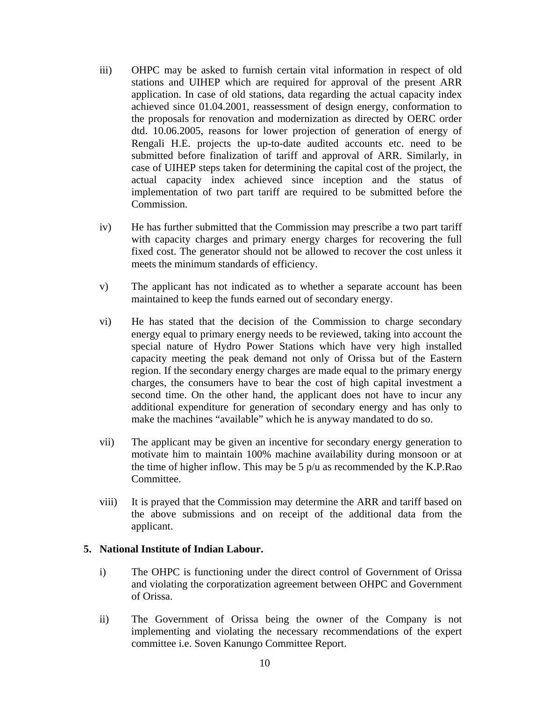- iii) OHPC may be asked to furnish certain vital information in respect of old stations and UIHEP which are required for approval of the present ARR application. In case of old stations, data regarding the actual capacity index achieved since 01.04.2001, reassessment of design energy, conformation to the proposals for renovation and modernization as directed by OERC order dtd. 10.06.2005, reasons for lower projection of generation of energy of Rengali H.E. projects the up-to-date audited accounts etc. need to be submitted before finalization of tariff and approval of ARR. Similarly, in case of UIHEP steps taken for determining the capital cost of the project, the actual capacity index achieved since inception and the status of implementation of two part tariff are required to be submitted before the Commission.
- iv) He has further submitted that the Commission may prescribe a two part tariff with capacity charges and primary energy charges for recovering the full fixed cost. The generator should not be allowed to recover the cost unless it meets the minimum standards of efficiency.
- v) The applicant has not indicated as to whether a separate account has been maintained to keep the funds earned out of secondary energy.
- vi) He has stated that the decision of the Commission to charge secondary energy equal to primary energy needs to be reviewed, taking into account the special nature of Hydro Power Stations which have very high installed capacity meeting the peak demand not only of Orissa but of the Eastern region. If the secondary energy charges are made equal to the primary energy charges, the consumers have to bear the cost of high capital investment a second time. On the other hand, the applicant does not have to incur any additional expenditure for generation of secondary energy and has only to make the machines "available" which he is anyway mandated to do so.
- vii) The applicant may be given an incentive for secondary energy generation to motivate him to maintain 100% machine availability during monsoon or at the time of higher inflow. This may be 5 p/u as recommended by the K.P.Rao Committee.
- viii) It is prayed that the Commission may determine the ARR and tariff based on the above submissions and on receipt of the additional data from the applicant.

## **5. National Institute of Indian Labour.**

- i) The OHPC is functioning under the direct control of Government of Orissa and violating the corporatization agreement between OHPC and Government of Orissa.
- ii) The Government of Orissa being the owner of the Company is not implementing and violating the necessary recommendations of the expert committee i.e. Soven Kanungo Committee Report.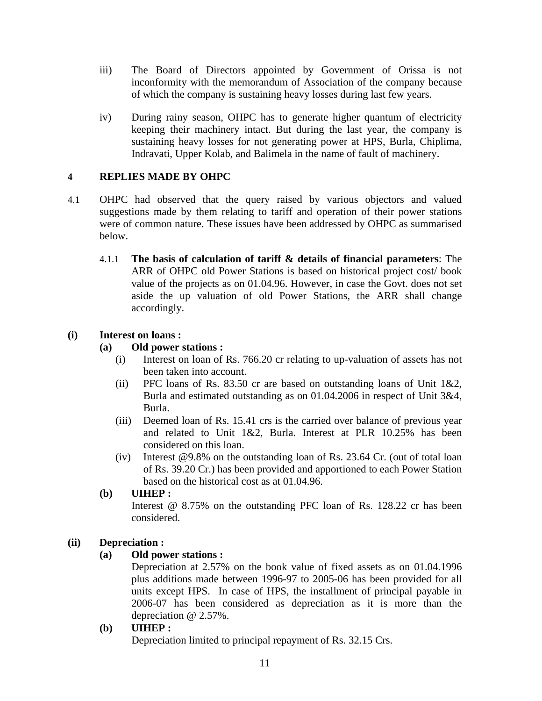- iii) The Board of Directors appointed by Government of Orissa is not inconformity with the memorandum of Association of the company because of which the company is sustaining heavy losses during last few years.
- iv) During rainy season, OHPC has to generate higher quantum of electricity keeping their machinery intact. But during the last year, the company is sustaining heavy losses for not generating power at HPS, Burla, Chiplima, Indravati, Upper Kolab, and Balimela in the name of fault of machinery.

## **4 REPLIES MADE BY OHPC**

- 4.1 OHPC had observed that the query raised by various objectors and valued suggestions made by them relating to tariff and operation of their power stations were of common nature. These issues have been addressed by OHPC as summarised below.
	- 4.1.1 **The basis of calculation of tariff & details of financial parameters**: The ARR of OHPC old Power Stations is based on historical project cost/ book value of the projects as on 01.04.96. However, in case the Govt. does not set aside the up valuation of old Power Stations, the ARR shall change accordingly.

## **(i) Interest on loans :**

## **(a) Old power stations :**

- (i) Interest on loan of Rs. 766.20 cr relating to up-valuation of assets has not been taken into account.
- (ii) PFC loans of Rs. 83.50 cr are based on outstanding loans of Unit  $1\&2$ , Burla and estimated outstanding as on 01.04.2006 in respect of Unit 3&4, Burla.
- (iii) Deemed loan of Rs. 15.41 crs is the carried over balance of previous year and related to Unit 1&2, Burla. Interest at PLR 10.25% has been considered on this loan.
- (iv) Interest @9.8% on the outstanding loan of Rs. 23.64 Cr. (out of total loan of Rs. 39.20 Cr.) has been provided and apportioned to each Power Station based on the historical cost as at 01.04.96.
- **(b) UIHEP :**  Interest @ 8.75% on the outstanding PFC loan of Rs. 128.22 cr has been considered.

# **(ii) Depreciation :**

# **(a) Old power stations :**

Depreciation at 2.57% on the book value of fixed assets as on 01.04.1996 plus additions made between 1996-97 to 2005-06 has been provided for all units except HPS. In case of HPS, the installment of principal payable in 2006-07 has been considered as depreciation as it is more than the depreciation @ 2.57%.

## **(b) UIHEP :**

Depreciation limited to principal repayment of Rs. 32.15 Crs.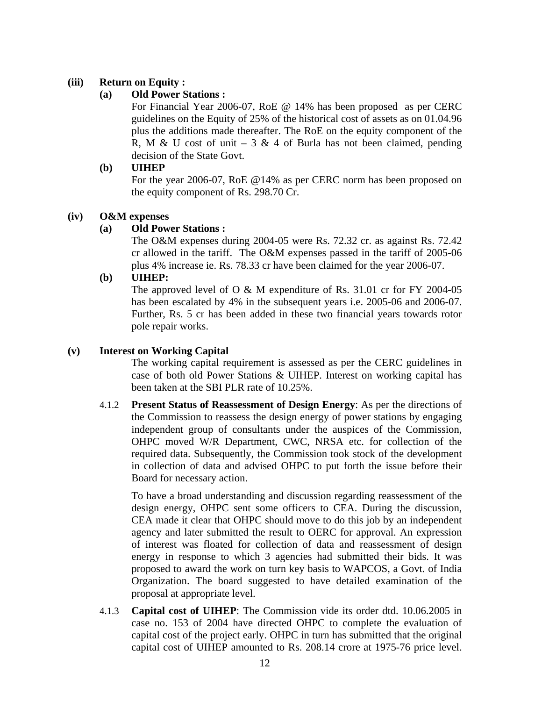## **(iii) Return on Equity :**

## **(a) Old Power Stations :**

For Financial Year 2006-07, RoE @ 14% has been proposed as per CERC guidelines on the Equity of 25% of the historical cost of assets as on 01.04.96 plus the additions made thereafter. The RoE on the equity component of the R, M & U cost of unit  $-3$  & 4 of Burla has not been claimed, pending decision of the State Govt.

## **(b) UIHEP**

For the year 2006-07, RoE @14% as per CERC norm has been proposed on the equity component of Rs. 298.70 Cr.

## **(iv) O&M expenses**

## **(a) Old Power Stations :**

The O&M expenses during 2004-05 were Rs. 72.32 cr. as against Rs. 72.42 cr allowed in the tariff. The O&M expenses passed in the tariff of 2005-06 plus 4% increase ie. Rs. 78.33 cr have been claimed for the year 2006-07.

## **(b) UIHEP:**

The approved level of O & M expenditure of Rs. 31.01 cr for FY 2004-05 has been escalated by 4% in the subsequent years i.e. 2005-06 and 2006-07. Further, Rs. 5 cr has been added in these two financial years towards rotor pole repair works.

## **(v) Interest on Working Capital**

The working capital requirement is assessed as per the CERC guidelines in case of both old Power Stations & UIHEP. Interest on working capital has been taken at the SBI PLR rate of 10.25%.

4.1.2 **Present Status of Reassessment of Design Energy**: As per the directions of the Commission to reassess the design energy of power stations by engaging independent group of consultants under the auspices of the Commission, OHPC moved W/R Department, CWC, NRSA etc. for collection of the required data. Subsequently, the Commission took stock of the development in collection of data and advised OHPC to put forth the issue before their Board for necessary action.

To have a broad understanding and discussion regarding reassessment of the design energy, OHPC sent some officers to CEA. During the discussion, CEA made it clear that OHPC should move to do this job by an independent agency and later submitted the result to OERC for approval. An expression of interest was floated for collection of data and reassessment of design energy in response to which 3 agencies had submitted their bids. It was proposed to award the work on turn key basis to WAPCOS, a Govt. of India Organization. The board suggested to have detailed examination of the proposal at appropriate level.

4.1.3 **Capital cost of UIHEP**: The Commission vide its order dtd. 10.06.2005 in case no. 153 of 2004 have directed OHPC to complete the evaluation of capital cost of the project early. OHPC in turn has submitted that the original capital cost of UIHEP amounted to Rs. 208.14 crore at 1975-76 price level.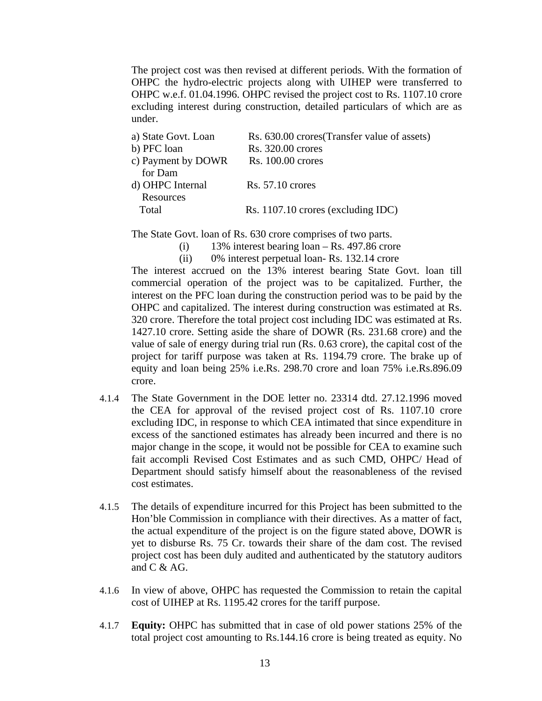The project cost was then revised at different periods. With the formation of OHPC the hydro-electric projects along with UIHEP were transferred to OHPC w.e.f. 01.04.1996. OHPC revised the project cost to Rs. 1107.10 crore excluding interest during construction, detailed particulars of which are as under.

| a) State Govt. Loan | Rs. 630.00 crores (Transfer value of assets) |
|---------------------|----------------------------------------------|
| b) PFC loan         | Rs. 320.00 crores                            |
| c) Payment by DOWR  | Rs. 100.00 crores                            |
| for Dam             |                                              |
| d) OHPC Internal    | $Rs. 57.10$ crores                           |
| Resources           |                                              |
| Total               | Rs. 1107.10 crores (excluding IDC)           |
|                     |                                              |

The State Govt. loan of Rs. 630 crore comprises of two parts.

- $(i)$  13% interest bearing loan Rs. 497.86 crore
- (ii) 0% interest perpetual loan- Rs. 132.14 crore

The interest accrued on the 13% interest bearing State Govt. loan till commercial operation of the project was to be capitalized. Further, the interest on the PFC loan during the construction period was to be paid by the OHPC and capitalized. The interest during construction was estimated at Rs. 320 crore. Therefore the total project cost including IDC was estimated at Rs. 1427.10 crore. Setting aside the share of DOWR (Rs. 231.68 crore) and the value of sale of energy during trial run (Rs. 0.63 crore), the capital cost of the project for tariff purpose was taken at Rs. 1194.79 crore. The brake up of equity and loan being 25% i.e.Rs. 298.70 crore and loan 75% i.e.Rs.896.09 crore.

- 4.1.4 The State Government in the DOE letter no. 23314 dtd. 27.12.1996 moved the CEA for approval of the revised project cost of Rs. 1107.10 crore excluding IDC, in response to which CEA intimated that since expenditure in excess of the sanctioned estimates has already been incurred and there is no major change in the scope, it would not be possible for CEA to examine such fait accompli Revised Cost Estimates and as such CMD, OHPC/ Head of Department should satisfy himself about the reasonableness of the revised cost estimates.
- 4.1.5 The details of expenditure incurred for this Project has been submitted to the Hon'ble Commission in compliance with their directives. As a matter of fact, the actual expenditure of the project is on the figure stated above, DOWR is yet to disburse Rs. 75 Cr. towards their share of the dam cost. The revised project cost has been duly audited and authenticated by the statutory auditors and C & AG.
- 4.1.6 In view of above, OHPC has requested the Commission to retain the capital cost of UIHEP at Rs. 1195.42 crores for the tariff purpose.
- 4.1.7 **Equity:** OHPC has submitted that in case of old power stations 25% of the total project cost amounting to Rs.144.16 crore is being treated as equity. No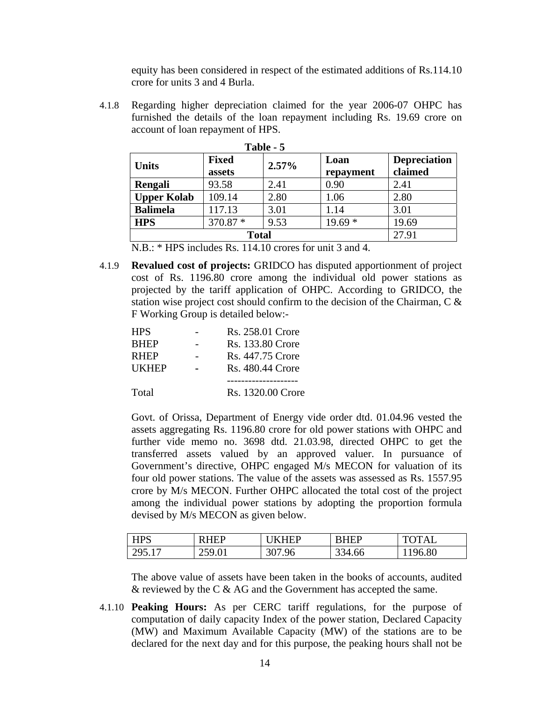equity has been considered in respect of the estimated additions of Rs.114.10 crore for units 3 and 4 Burla.

4.1.8 Regarding higher depreciation claimed for the year 2006-07 OHPC has furnished the details of the loan repayment including Rs. 19.69 crore on account of loan repayment of HPS.

| Table - 5          |                        |       |                   |                                |  |  |  |
|--------------------|------------------------|-------|-------------------|--------------------------------|--|--|--|
| <b>Units</b>       | <b>Fixed</b><br>assets | 2.57% | Loan<br>repayment | <b>Depreciation</b><br>claimed |  |  |  |
| Rengali            | 93.58                  | 2.41  | 0.90              | 2.41                           |  |  |  |
| <b>Upper Kolab</b> | 109.14                 | 2.80  | 1.06              | 2.80                           |  |  |  |
| <b>Balimela</b>    | 117.13                 | 3.01  | 1.14              | 3.01                           |  |  |  |
| <b>HPS</b>         | 370.87 *               | 9.53  | $19.69*$          | 19.69                          |  |  |  |
|                    | 27.91                  |       |                   |                                |  |  |  |

**Table - 5** 

N.B.: \* HPS includes Rs. 114.10 crores for unit 3 and 4.

4.1.9 **Revalued cost of projects:** GRIDCO has disputed apportionment of project cost of Rs. 1196.80 crore among the individual old power stations as projected by the tariff application of OHPC. According to GRIDCO, the station wise project cost should confirm to the decision of the Chairman, C & F Working Group is detailed below:-

| <b>HPS</b>   | Rs. 258.01 Crore  |
|--------------|-------------------|
| <b>BHEP</b>  | Rs. 133.80 Crore  |
| <b>RHEP</b>  | Rs. 447.75 Crore  |
| <b>UKHEP</b> | Rs. 480.44 Crore  |
|              |                   |
| Total        | Rs. 1320.00 Crore |

Govt. of Orissa, Department of Energy vide order dtd. 01.04.96 vested the assets aggregating Rs. 1196.80 crore for old power stations with OHPC and further vide memo no. 3698 dtd. 21.03.98, directed OHPC to get the transferred assets valued by an approved valuer. In pursuance of Government's directive, OHPC engaged M/s MECON for valuation of its four old power stations. The value of the assets was assessed as Rs. 1557.95 crore by M/s MECON. Further OHPC allocated the total cost of the project among the individual power stations by adopting the proportion formula devised by M/s MECON as given below.

| <b>HPS</b> | <b>HEP</b><br>К | <b>KHFP</b> | <b>RHEP</b> | <b>TOTAI</b> |
|------------|-----------------|-------------|-------------|--------------|
| 295.17     | 259.01<br>20.01 | 307.96      | 334.66      | 196.80       |

The above value of assets have been taken in the books of accounts, audited & reviewed by the C & AG and the Government has accepted the same.

4.1.10 **Peaking Hours:** As per CERC tariff regulations, for the purpose of computation of daily capacity Index of the power station, Declared Capacity (MW) and Maximum Available Capacity (MW) of the stations are to be declared for the next day and for this purpose, the peaking hours shall not be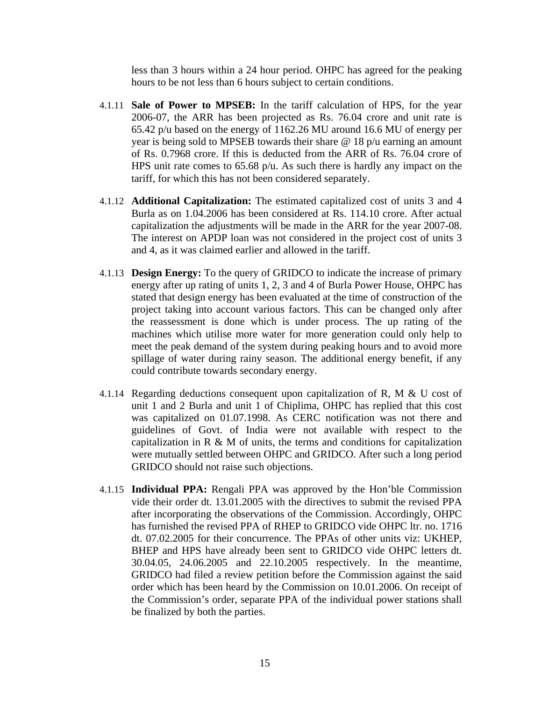less than 3 hours within a 24 hour period. OHPC has agreed for the peaking hours to be not less than 6 hours subject to certain conditions.

- 4.1.11 **Sale of Power to MPSEB:** In the tariff calculation of HPS, for the year 2006-07, the ARR has been projected as Rs. 76.04 crore and unit rate is 65.42 p/u based on the energy of 1162.26 MU around 16.6 MU of energy per year is being sold to MPSEB towards their share @ 18 p/u earning an amount of Rs. 0.7968 crore. If this is deducted from the ARR of Rs. 76.04 crore of HPS unit rate comes to  $65.68$  p/u. As such there is hardly any impact on the tariff, for which this has not been considered separately.
- 4.1.12 **Additional Capitalization:** The estimated capitalized cost of units 3 and 4 Burla as on 1.04.2006 has been considered at Rs. 114.10 crore. After actual capitalization the adjustments will be made in the ARR for the year 2007-08. The interest on APDP loan was not considered in the project cost of units 3 and 4, as it was claimed earlier and allowed in the tariff.
- 4.1.13 **Design Energy:** To the query of GRIDCO to indicate the increase of primary energy after up rating of units 1, 2, 3 and 4 of Burla Power House, OHPC has stated that design energy has been evaluated at the time of construction of the project taking into account various factors. This can be changed only after the reassessment is done which is under process. The up rating of the machines which utilise more water for more generation could only help to meet the peak demand of the system during peaking hours and to avoid more spillage of water during rainy season. The additional energy benefit, if any could contribute towards secondary energy.
- 4.1.14 Regarding deductions consequent upon capitalization of R, M & U cost of unit 1 and 2 Burla and unit 1 of Chiplima, OHPC has replied that this cost was capitalized on 01.07.1998. As CERC notification was not there and guidelines of Govt. of India were not available with respect to the capitalization in  $R \& M$  of units, the terms and conditions for capitalization were mutually settled between OHPC and GRIDCO. After such a long period GRIDCO should not raise such objections.
- 4.1.15 **Individual PPA:** Rengali PPA was approved by the Hon'ble Commission vide their order dt. 13.01.2005 with the directives to submit the revised PPA after incorporating the observations of the Commission. Accordingly, OHPC has furnished the revised PPA of RHEP to GRIDCO vide OHPC ltr. no. 1716 dt. 07.02.2005 for their concurrence. The PPAs of other units viz: UKHEP, BHEP and HPS have already been sent to GRIDCO vide OHPC letters dt. 30.04.05, 24.06.2005 and 22.10.2005 respectively. In the meantime, GRIDCO had filed a review petition before the Commission against the said order which has been heard by the Commission on 10.01.2006. On receipt of the Commission's order, separate PPA of the individual power stations shall be finalized by both the parties.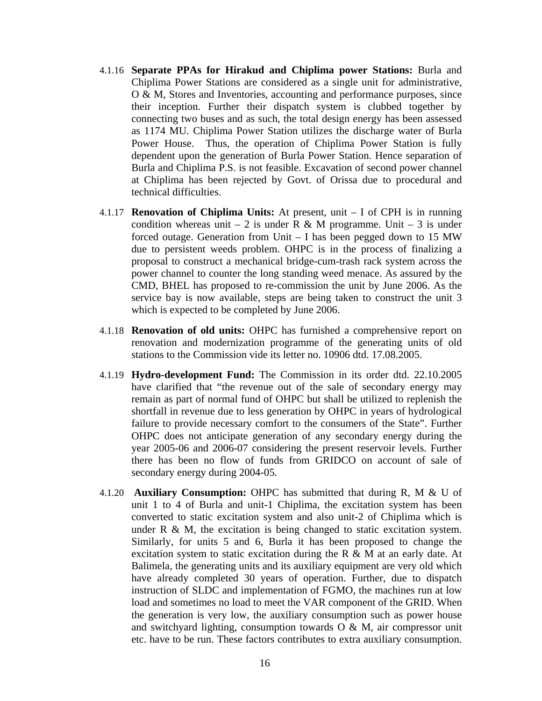- 4.1.16 **Separate PPAs for Hirakud and Chiplima power Stations:** Burla and Chiplima Power Stations are considered as a single unit for administrative, O & M, Stores and Inventories, accounting and performance purposes, since their inception. Further their dispatch system is clubbed together by connecting two buses and as such, the total design energy has been assessed as 1174 MU. Chiplima Power Station utilizes the discharge water of Burla Power House. Thus, the operation of Chiplima Power Station is fully dependent upon the generation of Burla Power Station. Hence separation of Burla and Chiplima P.S. is not feasible. Excavation of second power channel at Chiplima has been rejected by Govt. of Orissa due to procedural and technical difficulties.
- 4.1.17 **Renovation of Chiplima Units:** At present, unit I of CPH is in running condition whereas unit – 2 is under R & M programme. Unit – 3 is under forced outage. Generation from Unit – I has been pegged down to 15 MW due to persistent weeds problem. OHPC is in the process of finalizing a proposal to construct a mechanical bridge-cum-trash rack system across the power channel to counter the long standing weed menace. As assured by the CMD, BHEL has proposed to re-commission the unit by June 2006. As the service bay is now available, steps are being taken to construct the unit 3 which is expected to be completed by June 2006.
- 4.1.18 **Renovation of old units:** OHPC has furnished a comprehensive report on renovation and modernization programme of the generating units of old stations to the Commission vide its letter no. 10906 dtd. 17.08.2005.
- 4.1.19 **Hydro-development Fund:** The Commission in its order dtd. 22.10.2005 have clarified that "the revenue out of the sale of secondary energy may remain as part of normal fund of OHPC but shall be utilized to replenish the shortfall in revenue due to less generation by OHPC in years of hydrological failure to provide necessary comfort to the consumers of the State". Further OHPC does not anticipate generation of any secondary energy during the year 2005-06 and 2006-07 considering the present reservoir levels. Further there has been no flow of funds from GRIDCO on account of sale of secondary energy during 2004-05.
- 4.1.20 **Auxiliary Consumption:** OHPC has submitted that during R, M & U of unit 1 to 4 of Burla and unit-1 Chiplima, the excitation system has been converted to static excitation system and also unit-2 of Chiplima which is under  $R \& M$ , the excitation is being changed to static excitation system. Similarly, for units 5 and 6, Burla it has been proposed to change the excitation system to static excitation during the  $R \& M$  at an early date. At Balimela, the generating units and its auxiliary equipment are very old which have already completed 30 years of operation. Further, due to dispatch instruction of SLDC and implementation of FGMO, the machines run at low load and sometimes no load to meet the VAR component of the GRID. When the generation is very low, the auxiliary consumption such as power house and switchyard lighting, consumption towards  $O & M$ , air compressor unit etc. have to be run. These factors contributes to extra auxiliary consumption.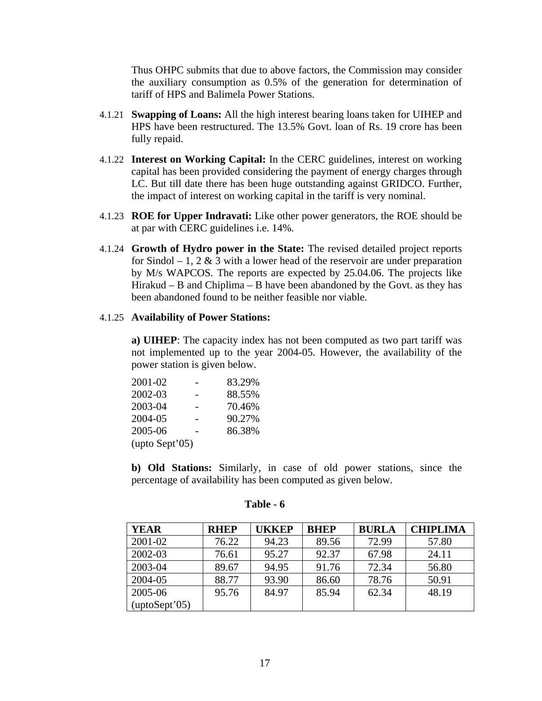Thus OHPC submits that due to above factors, the Commission may consider the auxiliary consumption as 0.5% of the generation for determination of tariff of HPS and Balimela Power Stations.

- 4.1.21 **Swapping of Loans:** All the high interest bearing loans taken for UIHEP and HPS have been restructured. The 13.5% Govt. loan of Rs. 19 crore has been fully repaid.
- 4.1.22 **Interest on Working Capital:** In the CERC guidelines, interest on working capital has been provided considering the payment of energy charges through LC. But till date there has been huge outstanding against GRIDCO. Further, the impact of interest on working capital in the tariff is very nominal.
- 4.1.23 **ROE for Upper Indravati:** Like other power generators, the ROE should be at par with CERC guidelines i.e. 14%.
- 4.1.24 **Growth of Hydro power in the State:** The revised detailed project reports for Sindol – 1, 2  $\&$  3 with a lower head of the reservoir are under preparation by M/s WAPCOS. The reports are expected by 25.04.06. The projects like Hirakud – B and Chiplima – B have been abandoned by the Govt. as they has been abandoned found to be neither feasible nor viable.

#### 4.1.25 **Availability of Power Stations:**

**a) UIHEP**: The capacity index has not been computed as two part tariff was not implemented up to the year 2004-05. However, the availability of the power station is given below.

| 2001-02         | 83.29% |
|-----------------|--------|
| 2002-03         | 88.55% |
| 2003-04         | 70.46% |
| 2004-05         | 90.27% |
| 2005-06         | 86.38% |
| $upto$ Sept'05) |        |

**b) Old Stations:** Similarly, in case of old power stations, since the percentage of availability has been computed as given below.

| <b>YEAR</b>            | <b>RHEP</b> | UKKEP | <b>BHEP</b> | <b>BURLA</b> | <b>CHIPLIMA</b> |
|------------------------|-------------|-------|-------------|--------------|-----------------|
| 2001-02                | 76.22       | 94.23 | 89.56       | 72.99        | 57.80           |
| 2002-03                | 76.61       | 95.27 | 92.37       | 67.98        | 24.11           |
| 2003-04                | 89.67       | 94.95 | 91.76       | 72.34        | 56.80           |
| 2004-05                | 88.77       | 93.90 | 86.60       | 78.76        | 50.91           |
| 2005-06                | 95.76       | 84.97 | 85.94       | 62.34        | 48.19           |
| $(\text{uptoSept'}05)$ |             |       |             |              |                 |

#### **Table - 6**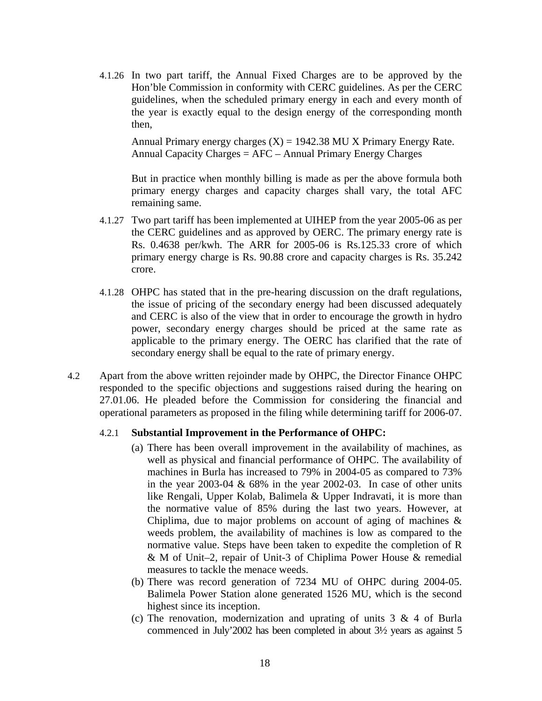4.1.26 In two part tariff, the Annual Fixed Charges are to be approved by the Hon'ble Commission in conformity with CERC guidelines. As per the CERC guidelines, when the scheduled primary energy in each and every month of the year is exactly equal to the design energy of the corresponding month then,

Annual Primary energy charges  $(X) = 1942.38$  MU X Primary Energy Rate. Annual Capacity Charges = AFC – Annual Primary Energy Charges

But in practice when monthly billing is made as per the above formula both primary energy charges and capacity charges shall vary, the total AFC remaining same.

- 4.1.27 Two part tariff has been implemented at UIHEP from the year 2005-06 as per the CERC guidelines and as approved by OERC. The primary energy rate is Rs. 0.4638 per/kwh. The ARR for 2005-06 is Rs.125.33 crore of which primary energy charge is Rs. 90.88 crore and capacity charges is Rs. 35.242 crore.
- 4.1.28 OHPC has stated that in the pre-hearing discussion on the draft regulations, the issue of pricing of the secondary energy had been discussed adequately and CERC is also of the view that in order to encourage the growth in hydro power, secondary energy charges should be priced at the same rate as applicable to the primary energy. The OERC has clarified that the rate of secondary energy shall be equal to the rate of primary energy.
- 4.2 Apart from the above written rejoinder made by OHPC, the Director Finance OHPC responded to the specific objections and suggestions raised during the hearing on 27.01.06. He pleaded before the Commission for considering the financial and operational parameters as proposed in the filing while determining tariff for 2006-07.

#### 4.2.1 **Substantial Improvement in the Performance of OHPC:**

- (a) There has been overall improvement in the availability of machines, as well as physical and financial performance of OHPC. The availability of machines in Burla has increased to 79% in 2004-05 as compared to 73% in the year  $2003-04 \& 68\%$  in the year  $2002-03$ . In case of other units like Rengali, Upper Kolab, Balimela & Upper Indravati, it is more than the normative value of 85% during the last two years. However, at Chiplima, due to major problems on account of aging of machines & weeds problem, the availability of machines is low as compared to the normative value. Steps have been taken to expedite the completion of R & M of Unit–2, repair of Unit-3 of Chiplima Power House & remedial measures to tackle the menace weeds.
- (b) There was record generation of 7234 MU of OHPC during 2004-05. Balimela Power Station alone generated 1526 MU, which is the second highest since its inception.
- (c) The renovation, modernization and uprating of units  $3 \& 4$  of Burla commenced in July'2002 has been completed in about 3½ years as against 5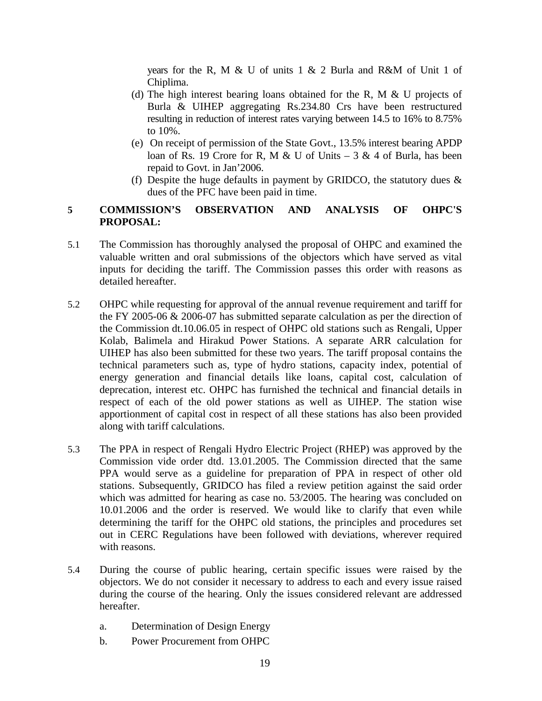years for the R, M & U of units 1 & 2 Burla and R&M of Unit 1 of Chiplima.

- (d) The high interest bearing loans obtained for the R, M  $\&$  U projects of Burla & UIHEP aggregating Rs.234.80 Crs have been restructured resulting in reduction of interest rates varying between 14.5 to 16% to 8.75% to 10%.
- (e) On receipt of permission of the State Govt., 13.5% interest bearing APDP loan of Rs. 19 Crore for R, M & U of Units –  $3 \& 4$  of Burla, has been repaid to Govt. in Jan'2006.
- (f) Despite the huge defaults in payment by GRIDCO, the statutory dues  $\&$ dues of the PFC have been paid in time.

# **5 COMMISSION'S OBSERVATION AND ANALYSIS OF OHPC'S PROPOSAL:**

- 5.1 The Commission has thoroughly analysed the proposal of OHPC and examined the valuable written and oral submissions of the objectors which have served as vital inputs for deciding the tariff. The Commission passes this order with reasons as detailed hereafter.
- 5.2 OHPC while requesting for approval of the annual revenue requirement and tariff for the FY 2005-06 & 2006-07 has submitted separate calculation as per the direction of the Commission dt.10.06.05 in respect of OHPC old stations such as Rengali, Upper Kolab, Balimela and Hirakud Power Stations. A separate ARR calculation for UIHEP has also been submitted for these two years. The tariff proposal contains the technical parameters such as, type of hydro stations, capacity index, potential of energy generation and financial details like loans, capital cost, calculation of deprecation, interest etc. OHPC has furnished the technical and financial details in respect of each of the old power stations as well as UIHEP. The station wise apportionment of capital cost in respect of all these stations has also been provided along with tariff calculations.
- 5.3 The PPA in respect of Rengali Hydro Electric Project (RHEP) was approved by the Commission vide order dtd. 13.01.2005. The Commission directed that the same PPA would serve as a guideline for preparation of PPA in respect of other old stations. Subsequently, GRIDCO has filed a review petition against the said order which was admitted for hearing as case no. 53/2005. The hearing was concluded on 10.01.2006 and the order is reserved. We would like to clarify that even while determining the tariff for the OHPC old stations, the principles and procedures set out in CERC Regulations have been followed with deviations, wherever required with reasons.
- 5.4 During the course of public hearing, certain specific issues were raised by the objectors. We do not consider it necessary to address to each and every issue raised during the course of the hearing. Only the issues considered relevant are addressed hereafter.
	- a. Determination of Design Energy
	- b. Power Procurement from OHPC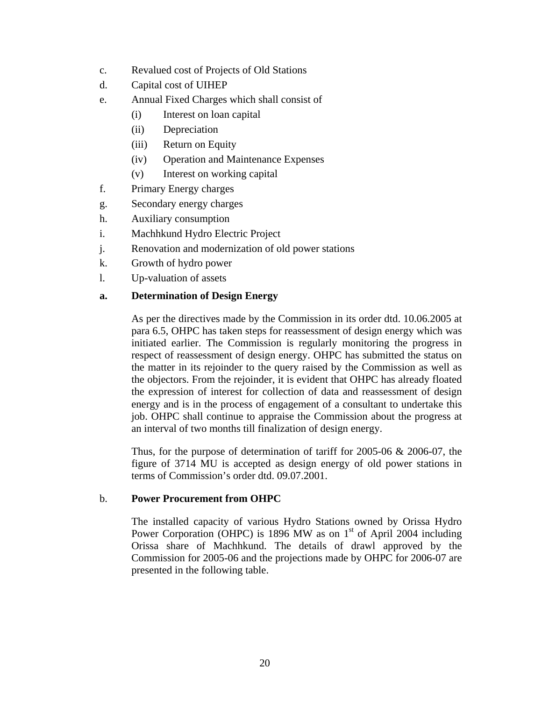- c. Revalued cost of Projects of Old Stations
- d. Capital cost of UIHEP
- e. Annual Fixed Charges which shall consist of
	- (i) Interest on loan capital
	- (ii) Depreciation
	- (iii) Return on Equity
	- (iv) Operation and Maintenance Expenses
	- (v) Interest on working capital
- f. Primary Energy charges
- g. Secondary energy charges
- h. Auxiliary consumption
- i. Machhkund Hydro Electric Project
- j. Renovation and modernization of old power stations
- k. Growth of hydro power
- l. Up-valuation of assets

## **a. Determination of Design Energy**

As per the directives made by the Commission in its order dtd. 10.06.2005 at para 6.5, OHPC has taken steps for reassessment of design energy which was initiated earlier. The Commission is regularly monitoring the progress in respect of reassessment of design energy. OHPC has submitted the status on the matter in its rejoinder to the query raised by the Commission as well as the objectors. From the rejoinder, it is evident that OHPC has already floated the expression of interest for collection of data and reassessment of design energy and is in the process of engagement of a consultant to undertake this job. OHPC shall continue to appraise the Commission about the progress at an interval of two months till finalization of design energy.

Thus, for the purpose of determination of tariff for 2005-06  $& 2006-07$ , the figure of 3714 MU is accepted as design energy of old power stations in terms of Commission's order dtd. 09.07.2001.

## b. **Power Procurement from OHPC**

The installed capacity of various Hydro Stations owned by Orissa Hydro Power Corporation (OHPC) is 1896 MW as on  $1<sup>st</sup>$  of April 2004 including Orissa share of Machhkund. The details of drawl approved by the Commission for 2005-06 and the projections made by OHPC for 2006-07 are presented in the following table.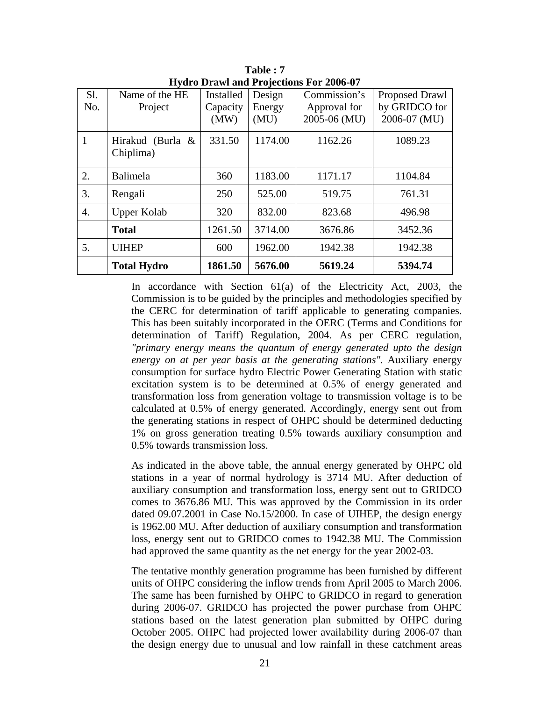| Sl.          | Name of the HE     | Installed | Design  | Commission's | Proposed Drawl |
|--------------|--------------------|-----------|---------|--------------|----------------|
| No.          | Project            | Capacity  | Energy  | Approval for | by GRIDCO for  |
|              |                    | (MW)      | (MU)    | 2005-06 (MU) | 2006-07 (MU)   |
|              |                    |           |         |              |                |
| $\mathbf{1}$ | Hirakud (Burla &   | 331.50    | 1174.00 | 1162.26      | 1089.23        |
|              | Chiplima)          |           |         |              |                |
|              |                    |           |         |              |                |
|              |                    |           |         |              |                |
| 2.           | Balimela           | 360       | 1183.00 | 1171.17      | 1104.84        |
| 3.           | Rengali            | 250       | 525.00  | 519.75       | 761.31         |
|              |                    |           |         |              |                |
| 4.           | <b>Upper Kolab</b> | 320       | 832.00  | 823.68       | 496.98         |
|              |                    |           |         |              |                |
|              | <b>Total</b>       | 1261.50   | 3714.00 | 3676.86      | 3452.36        |
| 5.           | <b>UIHEP</b>       | 600       | 1962.00 | 1942.38      | 1942.38        |
|              |                    |           |         |              |                |
|              | <b>Total Hydro</b> | 1861.50   | 5676.00 | 5619.24      | 5394.74        |

**Table : 7 Hydro Drawl and Projections For 2006-07** 

In accordance with Section 61(a) of the Electricity Act, 2003, the Commission is to be guided by the principles and methodologies specified by the CERC for determination of tariff applicable to generating companies. This has been suitably incorporated in the OERC (Terms and Conditions for determination of Tariff) Regulation, 2004. As per CERC regulation, *"primary energy means the quantum of energy generated upto the design energy on at per year basis at the generating stations".* Auxiliary energy consumption for surface hydro Electric Power Generating Station with static excitation system is to be determined at 0.5% of energy generated and transformation loss from generation voltage to transmission voltage is to be calculated at 0.5% of energy generated. Accordingly, energy sent out from the generating stations in respect of OHPC should be determined deducting 1% on gross generation treating 0.5% towards auxiliary consumption and 0.5% towards transmission loss.

As indicated in the above table, the annual energy generated by OHPC old stations in a year of normal hydrology is 3714 MU. After deduction of auxiliary consumption and transformation loss, energy sent out to GRIDCO comes to 3676.86 MU. This was approved by the Commission in its order dated 09.07.2001 in Case No.15/2000. In case of UIHEP, the design energy is 1962.00 MU. After deduction of auxiliary consumption and transformation loss, energy sent out to GRIDCO comes to 1942.38 MU. The Commission had approved the same quantity as the net energy for the year 2002-03.

The tentative monthly generation programme has been furnished by different units of OHPC considering the inflow trends from April 2005 to March 2006. The same has been furnished by OHPC to GRIDCO in regard to generation during 2006-07. GRIDCO has projected the power purchase from OHPC stations based on the latest generation plan submitted by OHPC during October 2005. OHPC had projected lower availability during 2006-07 than the design energy due to unusual and low rainfall in these catchment areas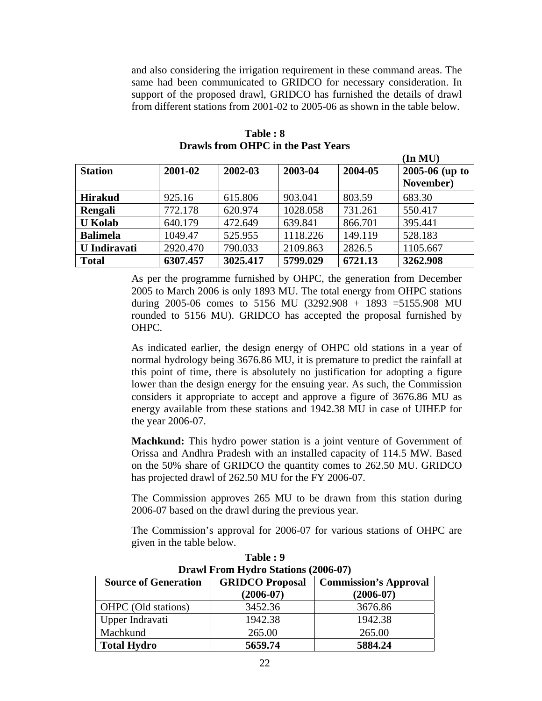and also considering the irrigation requirement in these command areas. The same had been communicated to GRIDCO for necessary consideration. In support of the proposed drawl, GRIDCO has furnished the details of drawl from different stations from 2001-02 to 2005-06 as shown in the table below.

|                     |          |          |          |         | $(\text{In MU})$   |
|---------------------|----------|----------|----------|---------|--------------------|
| <b>Station</b>      | 2001-02  | 2002-03  | 2003-04  | 2004-05 | $2005 - 06$ (up to |
|                     |          |          |          |         | November)          |
| <b>Hirakud</b>      | 925.16   | 615.806  | 903.041  | 803.59  | 683.30             |
| Rengali             | 772.178  | 620.974  | 1028.058 | 731.261 | 550.417            |
| <b>U</b> Kolab      | 640.179  | 472.649  | 639.841  | 866.701 | 395.441            |
| <b>Balimela</b>     | 1049.47  | 525.955  | 1118.226 | 149.119 | 528.183            |
| <b>U</b> Indiravati | 2920.470 | 790.033  | 2109.863 | 2826.5  | 1105.667           |
| <b>Total</b>        | 6307.457 | 3025.417 | 5799.029 | 6721.13 | 3262.908           |

**Table : 8 Drawls from OHPC in the Past Years** 

As per the programme furnished by OHPC, the generation from December 2005 to March 2006 is only 1893 MU. The total energy from OHPC stations during 2005-06 comes to 5156 MU (3292.908 + 1893 = 5155.908 MU rounded to 5156 MU). GRIDCO has accepted the proposal furnished by OHPC.

As indicated earlier, the design energy of OHPC old stations in a year of normal hydrology being 3676.86 MU, it is premature to predict the rainfall at this point of time, there is absolutely no justification for adopting a figure lower than the design energy for the ensuing year. As such, the Commission considers it appropriate to accept and approve a figure of 3676.86 MU as energy available from these stations and 1942.38 MU in case of UIHEP for the year 2006-07.

**Machkund:** This hydro power station is a joint venture of Government of Orissa and Andhra Pradesh with an installed capacity of 114.5 MW. Based on the 50% share of GRIDCO the quantity comes to 262.50 MU. GRIDCO has projected drawl of 262.50 MU for the FY 2006-07.

The Commission approves 265 MU to be drawn from this station during 2006-07 based on the drawl during the previous year.

The Commission's approval for 2006-07 for various stations of OHPC are given in the table below.

| $P1$ and $P1$ one have $P2$ of $P3$ and $P4$ and $P5$ and $P6$ and $P7$ |                                       |                                             |  |  |  |  |  |
|-------------------------------------------------------------------------|---------------------------------------|---------------------------------------------|--|--|--|--|--|
| <b>Source of Generation</b>                                             | <b>GRIDCO Proposal</b><br>$(2006-07)$ | <b>Commission's Approval</b><br>$(2006-07)$ |  |  |  |  |  |
| OHPC (Old stations)                                                     | 3452.36                               | 3676.86                                     |  |  |  |  |  |
| Upper Indravati                                                         | 1942.38                               | 1942.38                                     |  |  |  |  |  |
| Machkund                                                                | 265.00                                | 265.00                                      |  |  |  |  |  |
| <b>Total Hydro</b>                                                      | 5659.74                               | 5884.24                                     |  |  |  |  |  |

**Table : 9 Drawl From Hydro Stations (2006-07)**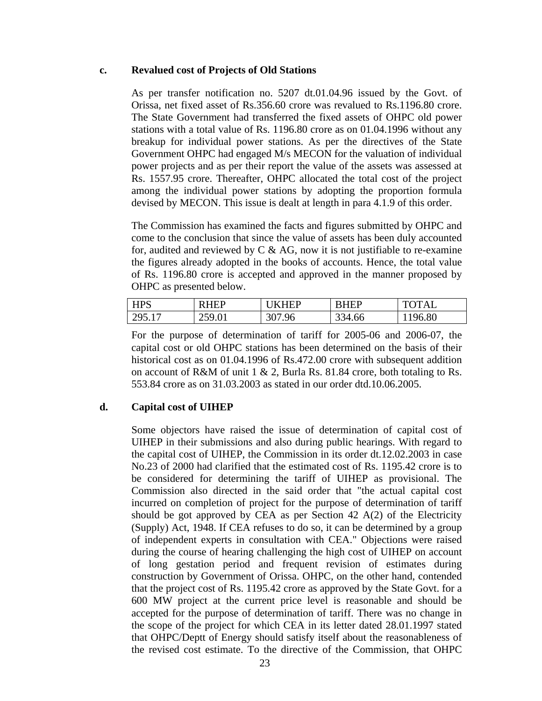## **c. Revalued cost of Projects of Old Stations**

As per transfer notification no. 5207 dt.01.04.96 issued by the Govt. of Orissa, net fixed asset of Rs.356.60 crore was revalued to Rs.1196.80 crore. The State Government had transferred the fixed assets of OHPC old power stations with a total value of Rs. 1196.80 crore as on 01.04.1996 without any breakup for individual power stations. As per the directives of the State Government OHPC had engaged M/s MECON for the valuation of individual power projects and as per their report the value of the assets was assessed at Rs. 1557.95 crore. Thereafter, OHPC allocated the total cost of the project among the individual power stations by adopting the proportion formula devised by MECON. This issue is dealt at length in para 4.1.9 of this order.

The Commission has examined the facts and figures submitted by OHPC and come to the conclusion that since the value of assets has been duly accounted for, audited and reviewed by  $C \& A G$ , now it is not justifiable to re-examine the figures already adopted in the books of accounts. Hence, the total value of Rs. 1196.80 crore is accepted and approved in the manner proposed by OHPC as presented below.

| <b>HPS</b> | <b>HEP</b>             | THED   | <b>RHEP</b> | <b>TOTAL</b> |
|------------|------------------------|--------|-------------|--------------|
| 295.17     | 250.<br><i>200</i> .01 | 307.96 | 334.66      | 196.80       |

For the purpose of determination of tariff for 2005-06 and 2006-07, the capital cost or old OHPC stations has been determined on the basis of their historical cost as on 01.04.1996 of Rs.472.00 crore with subsequent addition on account of R&M of unit 1 & 2, Burla Rs. 81.84 crore, both totaling to Rs. 553.84 crore as on 31.03.2003 as stated in our order dtd.10.06.2005.

# **d. Capital cost of UIHEP**

Some objectors have raised the issue of determination of capital cost of UIHEP in their submissions and also during public hearings. With regard to the capital cost of UIHEP, the Commission in its order dt.12.02.2003 in case No.23 of 2000 had clarified that the estimated cost of Rs. 1195.42 crore is to be considered for determining the tariff of UIHEP as provisional. The Commission also directed in the said order that "the actual capital cost incurred on completion of project for the purpose of determination of tariff should be got approved by CEA as per Section 42 A(2) of the Electricity (Supply) Act, 1948. If CEA refuses to do so, it can be determined by a group of independent experts in consultation with CEA." Objections were raised during the course of hearing challenging the high cost of UIHEP on account of long gestation period and frequent revision of estimates during construction by Government of Orissa. OHPC, on the other hand, contended that the project cost of Rs. 1195.42 crore as approved by the State Govt. for a 600 MW project at the current price level is reasonable and should be accepted for the purpose of determination of tariff. There was no change in the scope of the project for which CEA in its letter dated 28.01.1997 stated that OHPC/Deptt of Energy should satisfy itself about the reasonableness of the revised cost estimate. To the directive of the Commission, that OHPC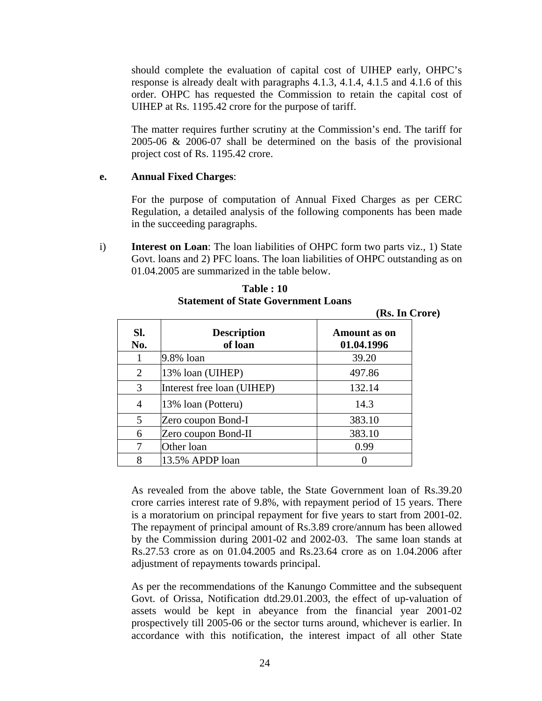should complete the evaluation of capital cost of UIHEP early, OHPC's response is already dealt with paragraphs 4.1.3, 4.1.4, 4.1.5 and 4.1.6 of this order. OHPC has requested the Commission to retain the capital cost of UIHEP at Rs. 1195.42 crore for the purpose of tariff.

The matter requires further scrutiny at the Commission's end. The tariff for 2005-06 & 2006-07 shall be determined on the basis of the provisional project cost of Rs. 1195.42 crore.

### **e. Annual Fixed Charges**:

For the purpose of computation of Annual Fixed Charges as per CERC Regulation, a detailed analysis of the following components has been made in the succeeding paragraphs.

i) **Interest on Loan**: The loan liabilities of OHPC form two parts viz., 1) State Govt. loans and 2) PFC loans. The loan liabilities of OHPC outstanding as on 01.04.2005 are summarized in the table below.

|                |                               | $\sim$                            |
|----------------|-------------------------------|-----------------------------------|
| Sl.<br>No.     | <b>Description</b><br>of loan | <b>Amount</b> as on<br>01.04.1996 |
|                | 9.8% loan                     | 39.20                             |
| $\overline{2}$ | 13% loan (UIHEP)              | 497.86                            |
| 3              | Interest free loan (UIHEP)    | 132.14                            |
| 4              | 13% loan (Potteru)            | 14.3                              |
| 5              | Zero coupon Bond-I            | 383.10                            |
| 6              | Zero coupon Bond-II           | 383.10                            |
|                | Other loan                    | 0.99                              |
| 8              | 13.5% APDP loan               |                                   |

**Table : 10 Statement of State Government Loans** 

**(Rs. In Crore)** 

As revealed from the above table, the State Government loan of Rs.39.20 crore carries interest rate of 9.8%, with repayment period of 15 years. There is a moratorium on principal repayment for five years to start from 2001-02. The repayment of principal amount of Rs.3.89 crore/annum has been allowed by the Commission during 2001-02 and 2002-03. The same loan stands at Rs.27.53 crore as on 01.04.2005 and Rs.23.64 crore as on 1.04.2006 after adjustment of repayments towards principal.

As per the recommendations of the Kanungo Committee and the subsequent Govt. of Orissa, Notification dtd.29.01.2003, the effect of up-valuation of assets would be kept in abeyance from the financial year 2001-02 prospectively till 2005-06 or the sector turns around, whichever is earlier. In accordance with this notification, the interest impact of all other State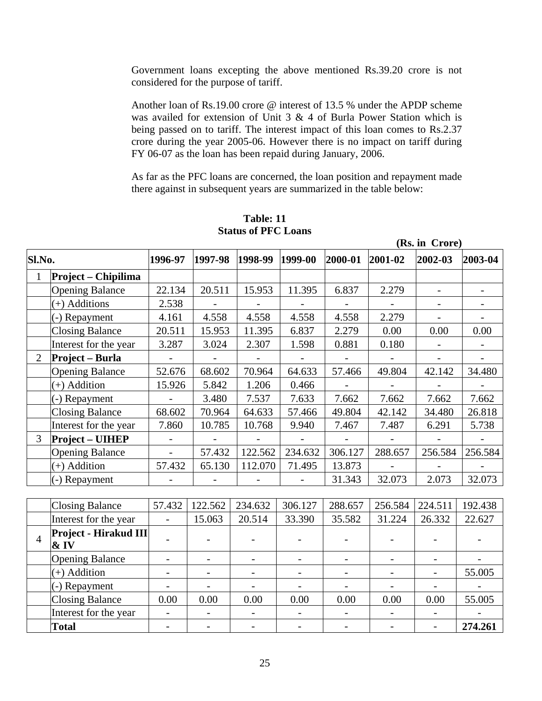Government loans excepting the above mentioned Rs.39.20 crore is not considered for the purpose of tariff.

Another loan of Rs.19.00 crore @ interest of 13.5 % under the APDP scheme was availed for extension of Unit 3 & 4 of Burla Power Station which is being passed on to tariff. The interest impact of this loan comes to Rs.2.37 crore during the year 2005-06. However there is no impact on tariff during FY 06-07 as the loan has been repaid during January, 2006.

As far as the PFC loans are concerned, the loan position and repayment made there against in subsequent years are summarized in the table below:

 **(Rs. in Crore)** 

|        | $(100 \text{ m})$      |                          |         |         |         |         |         |         |         |
|--------|------------------------|--------------------------|---------|---------|---------|---------|---------|---------|---------|
| Sl.No. |                        | 1996-97                  | 1997-98 | 1998-99 | 1999-00 | 2000-01 | 2001-02 | 2002-03 | 2003-04 |
|        | Project – Chipilima    |                          |         |         |         |         |         |         |         |
|        | <b>Opening Balance</b> | 22.134                   | 20.511  | 15.953  | 11.395  | 6.837   | 2.279   |         |         |
|        | $(+)$ Additions        | 2.538                    |         |         |         |         |         |         |         |
|        | (-) Repayment          | 4.161                    | 4.558   | 4.558   | 4.558   | 4.558   | 2.279   |         |         |
|        | <b>Closing Balance</b> | 20.511                   | 15.953  | 11.395  | 6.837   | 2.279   | 0.00    | 0.00    | 0.00    |
|        | Interest for the year  | 3.287                    | 3.024   | 2.307   | 1.598   | 0.881   | 0.180   |         |         |
| 2      | Project – Burla        |                          |         |         |         |         |         |         |         |
|        | <b>Opening Balance</b> | 52.676                   | 68.602  | 70.964  | 64.633  | 57.466  | 49.804  | 42.142  | 34.480  |
|        | $(+)$ Addition         | 15.926                   | 5.842   | 1.206   | 0.466   |         |         |         |         |
|        | (-) Repayment          |                          | 3.480   | 7.537   | 7.633   | 7.662   | 7.662   | 7.662   | 7.662   |
|        | <b>Closing Balance</b> | 68.602                   | 70.964  | 64.633  | 57.466  | 49.804  | 42.142  | 34.480  | 26.818  |
|        | Interest for the year  | 7.860                    | 10.785  | 10.768  | 9.940   | 7.467   | 7.487   | 6.291   | 5.738   |
| 3      | <b>Project – UIHEP</b> | $\overline{\phantom{a}}$ |         |         |         |         |         |         |         |
|        | <b>Opening Balance</b> | $\overline{\phantom{a}}$ | 57.432  | 122.562 | 234.632 | 306.127 | 288.657 | 256.584 | 256.584 |
|        | (+) Addition           | 57.432                   | 65.130  | 112.070 | 71.495  | 13.873  |         |         |         |
|        | (-) Repayment          |                          |         |         |         | 31.343  | 32.073  | 2.073   | 32.073  |
|        |                        |                          |         |         |         |         |         |         |         |

# **Table: 11 Status of PFC Loans**

| <b>Closing Balance</b>           | 57.432 | 122.562                  | 234.632                  | 306.127 | 288.657 | 256.584 | 224.511 | 192.438 |
|----------------------------------|--------|--------------------------|--------------------------|---------|---------|---------|---------|---------|
| Interest for the year            |        | 15.063                   | 20.514                   | 33.390  | 35.582  | 31.224  | 26.332  | 22.627  |
| Project - Hirakud III<br>$\&$ IV |        | $\overline{\phantom{a}}$ |                          |         |         |         |         |         |
| <b>Opening Balance</b>           |        | $\overline{\phantom{a}}$ |                          |         |         |         |         |         |
| $(+)$ Addition                   |        | $\overline{\phantom{0}}$ | $\overline{\phantom{0}}$ |         |         |         |         | 55.005  |
| $(-)$ Repayment                  |        | $\overline{\phantom{0}}$ |                          |         |         |         |         |         |
| <b>Closing Balance</b>           | 0.00   | 0.00                     | 0.00                     | 0.00    | 0.00    | 0.00    | 0.00    | 55.005  |
| Interest for the year            |        | $\overline{\phantom{0}}$ |                          |         |         |         |         |         |
| <b>Total</b>                     |        |                          |                          |         |         |         |         | 274.261 |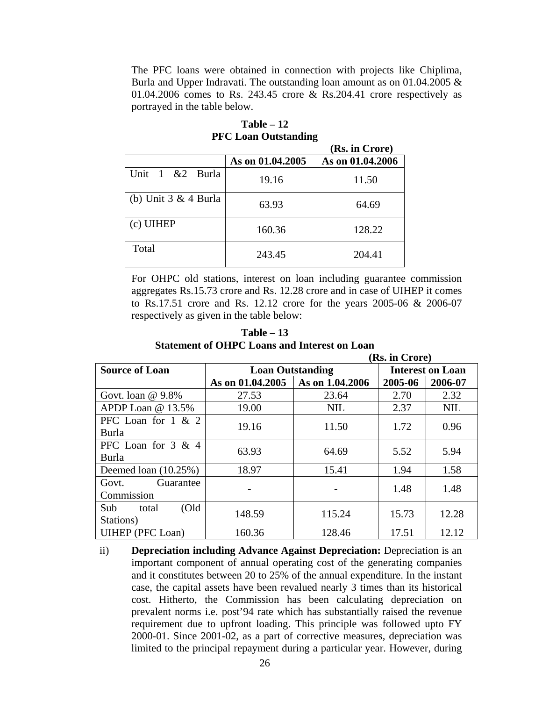The PFC loans were obtained in connection with projects like Chiplima, Burla and Upper Indravati. The outstanding loan amount as on 01.04.2005 & 01.04.2006 comes to Rs. 243.45 crore & Rs.204.41 crore respectively as portrayed in the table below.

|                        |                  | (Rs. in Crore)   |
|------------------------|------------------|------------------|
|                        | As on 01.04.2005 | As on 01.04.2006 |
| Unit 1 &2 Burla        | 19.16            | 11.50            |
| (b) Unit $3 & 4$ Burla | 63.93            | 64.69            |
| $(c)$ UIHEP            | 160.36           | 128.22           |
| Total                  | 243.45           | 204.41           |

## **Table – 12 PFC Loan Outstanding**

For OHPC old stations, interest on loan including guarantee commission aggregates Rs.15.73 crore and Rs. 12.28 crore and in case of UIHEP it comes to Rs.17.51 crore and Rs. 12.12 crore for the years 2005-06 & 2006-07 respectively as given in the table below:

| Table $-13$                                         |
|-----------------------------------------------------|
| <b>Statement of OHPC Loans and Interest on Loan</b> |

|                              | (Rs. in Crore)          |                         |         |            |  |  |
|------------------------------|-------------------------|-------------------------|---------|------------|--|--|
| <b>Source of Loan</b>        | <b>Loan Outstanding</b> | <b>Interest on Loan</b> |         |            |  |  |
|                              | As on 01.04.2005        | As on 1.04.2006         | 2005-06 | 2006-07    |  |  |
| Govt. loan $@9.8\%$          | 27.53                   | 23.64                   | 2.70    | 2.32       |  |  |
| APDP Loan @ 13.5%            | 19.00                   | <b>NIL</b>              | 2.37    | <b>NIL</b> |  |  |
| PFC Loan for $1 \& 2$        | 19.16                   | 11.50                   | 1.72    | 0.96       |  |  |
| Burla                        |                         |                         |         |            |  |  |
| PFC Loan for 3 & 4           | 63.93                   | 64.69                   | 5.52    | 5.94       |  |  |
| Burla                        |                         |                         |         |            |  |  |
| Deemed loan $(10.25\%)$      | 18.97                   | 15.41                   | 1.94    | 1.58       |  |  |
| Govt.<br>Guarantee           |                         |                         | 1.48    | 1.48       |  |  |
| Commission                   |                         |                         |         |            |  |  |
| $\text{Old}$<br>Sub<br>total | 148.59                  | 115.24                  | 15.73   | 12.28      |  |  |
| Stations)                    |                         |                         |         |            |  |  |
| <b>UIHEP</b> (PFC Loan)      | 160.36                  | 128.46                  | 17.51   | 12.12      |  |  |

ii) **Depreciation including Advance Against Depreciation:** Depreciation is an important component of annual operating cost of the generating companies and it constitutes between 20 to 25% of the annual expenditure. In the instant case, the capital assets have been revalued nearly 3 times than its historical cost. Hitherto, the Commission has been calculating depreciation on prevalent norms i.e. post'94 rate which has substantially raised the revenue requirement due to upfront loading. This principle was followed upto FY 2000-01. Since 2001-02, as a part of corrective measures, depreciation was limited to the principal repayment during a particular year. However, during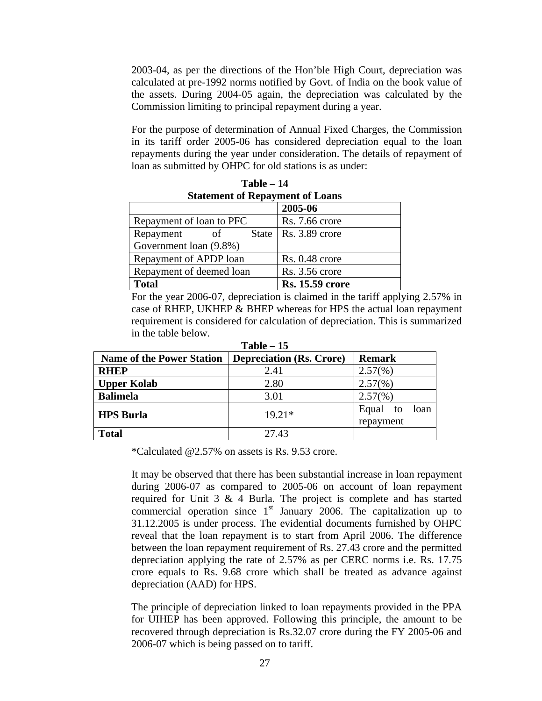2003-04, as per the directions of the Hon'ble High Court, depreciation was calculated at pre-1992 norms notified by Govt. of India on the book value of the assets. During 2004-05 again, the depreciation was calculated by the Commission limiting to principal repayment during a year.

For the purpose of determination of Annual Fixed Charges, the Commission in its tariff order 2005-06 has considered depreciation equal to the loan repayments during the year under consideration. The details of repayment of loan as submitted by OHPC for old stations is as under:

| Statement of Repayment of Loans |                        |  |  |  |  |
|---------------------------------|------------------------|--|--|--|--|
|                                 | 2005-06                |  |  |  |  |
| Repayment of loan to PFC        | Rs. 7.66 crore         |  |  |  |  |
| State<br>Repayment<br>of        | $Rs. 3.89$ crore       |  |  |  |  |
| Government loan (9.8%)          |                        |  |  |  |  |
| Repayment of APDP loan          | $Rs. 0.48$ crore       |  |  |  |  |
| Repayment of deemed loan        | Rs. 3.56 crore         |  |  |  |  |
| <b>Total</b>                    | <b>Rs. 15.59 crore</b> |  |  |  |  |

**Table – 14 Statement of Repayment of Loans** 

For the year 2006-07, depreciation is claimed in the tariff applying 2.57% in case of RHEP, UKHEP & BHEP whereas for HPS the actual loan repayment requirement is considered for calculation of depreciation. This is summarized in the table below.

| $1$ avic $-1$ .                  |                                 |                     |  |  |  |  |
|----------------------------------|---------------------------------|---------------------|--|--|--|--|
| <b>Name of the Power Station</b> | <b>Depreciation (Rs. Crore)</b> | <b>Remark</b>       |  |  |  |  |
| <b>RHEP</b>                      | 2.41                            | $2.57(\%)$          |  |  |  |  |
| <b>Upper Kolab</b>               | 2.80                            | $2.57(\%)$          |  |  |  |  |
| <b>Balimela</b>                  | 3.01                            | $2.57(\%)$          |  |  |  |  |
| <b>HPS Burla</b>                 | $19.21*$                        | Equal<br>loan<br>to |  |  |  |  |
|                                  |                                 | repayment           |  |  |  |  |
| <b>Total</b>                     | 27.43                           |                     |  |  |  |  |

**Table – 15** 

\*Calculated @2.57% on assets is Rs. 9.53 crore.

It may be observed that there has been substantial increase in loan repayment during 2006-07 as compared to 2005-06 on account of loan repayment required for Unit 3 & 4 Burla. The project is complete and has started commercial operation since  $1<sup>st</sup>$  January 2006. The capitalization up to 31.12.2005 is under process. The evidential documents furnished by OHPC reveal that the loan repayment is to start from April 2006. The difference between the loan repayment requirement of Rs. 27.43 crore and the permitted depreciation applying the rate of 2.57% as per CERC norms i.e. Rs. 17.75 crore equals to Rs. 9.68 crore which shall be treated as advance against depreciation (AAD) for HPS.

The principle of depreciation linked to loan repayments provided in the PPA for UIHEP has been approved. Following this principle, the amount to be recovered through depreciation is Rs.32.07 crore during the FY 2005-06 and 2006-07 which is being passed on to tariff.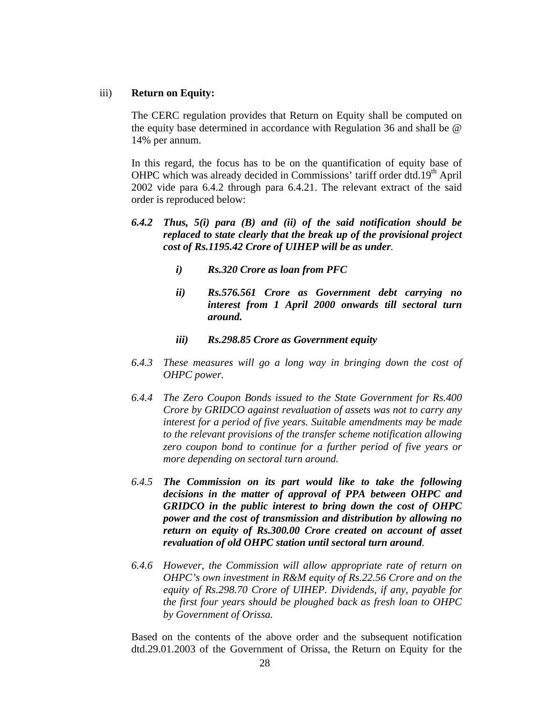#### iii) **Return on Equity:**

The CERC regulation provides that Return on Equity shall be computed on the equity base determined in accordance with Regulation 36 and shall be @ 14% per annum.

In this regard, the focus has to be on the quantification of equity base of OHPC which was already decided in Commissions' tariff order dtd.19<sup>th</sup> April 2002 vide para 6.4.2 through para 6.4.21. The relevant extract of the said order is reproduced below:

- *6.4.2 Thus, 5(i) para (B) and (ii) of the said notification should be replaced to state clearly that the break up of the provisional project cost of Rs.1195.42 Crore of UIHEP will be as under.* 
	- *i) Rs.320 Crore as loan from PFC*
	- *ii) Rs.576.561 Crore as Government debt carrying no interest from 1 April 2000 onwards till sectoral turn around.*
	- *iii) Rs.298.85 Crore as Government equity*
- *6.4.3 These measures will go a long way in bringing down the cost of OHPC power.*
- *6.4.4 The Zero Coupon Bonds issued to the State Government for Rs.400 Crore by GRIDCO against revaluation of assets was not to carry any interest for a period of five years. Suitable amendments may be made to the relevant provisions of the transfer scheme notification allowing zero coupon bond to continue for a further period of five years or more depending on sectoral turn around.*
- *6.4.5 The Commission on its part would like to take the following decisions in the matter of approval of PPA between OHPC and GRIDCO in the public interest to bring down the cost of OHPC power and the cost of transmission and distribution by allowing no return on equity of Rs.300.00 Crore created on account of asset revaluation of old OHPC station until sectoral turn around.*
- *6.4.6 However, the Commission will allow appropriate rate of return on OHPC's own investment in R&M equity of Rs.22.56 Crore and on the equity of Rs.298.70 Crore of UIHEP. Dividends, if any, payable for the first four years should be ploughed back as fresh loan to OHPC by Government of Orissa.*

Based on the contents of the above order and the subsequent notification dtd.29.01.2003 of the Government of Orissa, the Return on Equity for the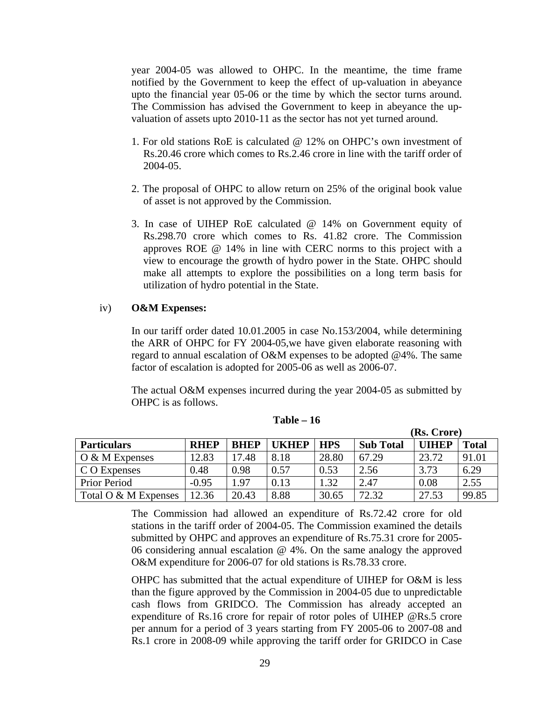year 2004-05 was allowed to OHPC. In the meantime, the time frame notified by the Government to keep the effect of up-valuation in abeyance upto the financial year 05-06 or the time by which the sector turns around. The Commission has advised the Government to keep in abeyance the upvaluation of assets upto 2010-11 as the sector has not yet turned around.

- 1. For old stations RoE is calculated @ 12% on OHPC's own investment of Rs.20.46 crore which comes to Rs.2.46 crore in line with the tariff order of 2004-05.
- 2. The proposal of OHPC to allow return on 25% of the original book value of asset is not approved by the Commission.
- 3. In case of UIHEP RoE calculated @ 14% on Government equity of Rs.298.70 crore which comes to Rs. 41.82 crore. The Commission approves ROE @ 14% in line with CERC norms to this project with a view to encourage the growth of hydro power in the State. OHPC should make all attempts to explore the possibilities on a long term basis for utilization of hydro potential in the State.

### iv) **O&M Expenses:**

In our tariff order dated 10.01.2005 in case No.153/2004, while determining the ARR of OHPC for FY 2004-05,we have given elaborate reasoning with regard to annual escalation of O&M expenses to be adopted @4%. The same factor of escalation is adopted for 2005-06 as well as 2006-07.

The actual O&M expenses incurred during the year 2004-05 as submitted by OHPC is as follows.

|                             |             |             |              |            |                  | (Rs. Crore)  |              |
|-----------------------------|-------------|-------------|--------------|------------|------------------|--------------|--------------|
| <b>Particulars</b>          | <b>RHEP</b> | <b>BHEP</b> | <b>UKHEP</b> | <b>HPS</b> | <b>Sub Total</b> | <b>UIHEP</b> | <b>Total</b> |
| $\overline{O}$ & M Expenses | 12.83       | 17.48       | 8.18         | 28.80      | 67.29            | 23.72        | 91.01        |
| C O Expenses                | 0.48        | 0.98        | 0.57         | 0.53       | 2.56             | 3.73         | 6.29         |
| <b>Prior Period</b>         | $-0.95$     | .97         | 0.13         | 1.32       | 2.47             | 0.08         | 2.55         |
| Total O $\&$ M Expenses     | 12.36       | 20.43       | 8.88         | 30.65      | 72.32            | 27.53        | 99.85        |

**Table – 16** 

The Commission had allowed an expenditure of Rs.72.42 crore for old stations in the tariff order of 2004-05. The Commission examined the details submitted by OHPC and approves an expenditure of Rs.75.31 crore for 2005- 06 considering annual escalation @ 4%. On the same analogy the approved O&M expenditure for 2006-07 for old stations is Rs.78.33 crore.

OHPC has submitted that the actual expenditure of UIHEP for O&M is less than the figure approved by the Commission in 2004-05 due to unpredictable cash flows from GRIDCO. The Commission has already accepted an expenditure of Rs.16 crore for repair of rotor poles of UIHEP @Rs.5 crore per annum for a period of 3 years starting from FY 2005-06 to 2007-08 and Rs.1 crore in 2008-09 while approving the tariff order for GRIDCO in Case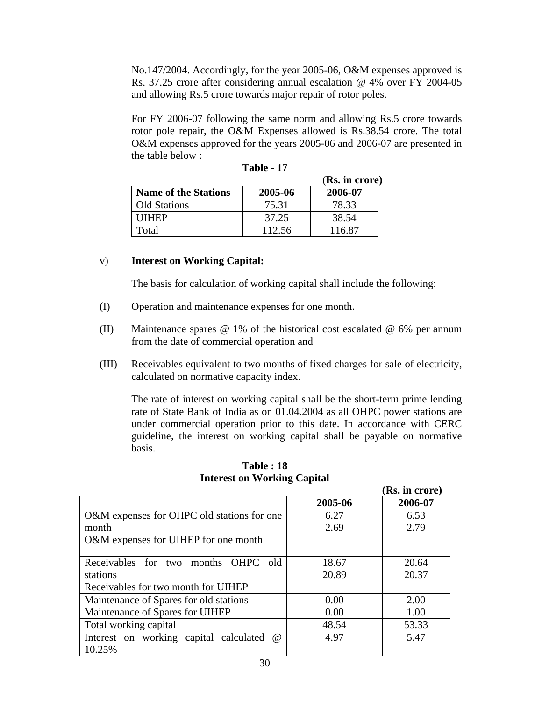No.147/2004. Accordingly, for the year 2005-06, O&M expenses approved is Rs. 37.25 crore after considering annual escalation @ 4% over FY 2004-05 and allowing Rs.5 crore towards major repair of rotor poles.

For FY 2006-07 following the same norm and allowing Rs.5 crore towards rotor pole repair, the O&M Expenses allowed is Rs.38.54 crore. The total O&M expenses approved for the years 2005-06 and 2006-07 are presented in the table below :

|                             |         | (Rs. in crore) |
|-----------------------------|---------|----------------|
| <b>Name of the Stations</b> | 2005-06 | 2006-07        |
| <b>Old Stations</b>         | 75.31   | 78.33          |
| <b>ITHEP</b>                | 37.25   | 38.54          |
| Fotal                       | 112.56  | 116.87         |

**Table - 17** 

## v) **Interest on Working Capital:**

The basis for calculation of working capital shall include the following:

- (I) Operation and maintenance expenses for one month.
- (II) Maintenance spares  $\omega$  1% of the historical cost escalated  $\omega$  6% per annum from the date of commercial operation and
- (III) Receivables equivalent to two months of fixed charges for sale of electricity, calculated on normative capacity index.

The rate of interest on working capital shall be the short-term prime lending rate of State Bank of India as on 01.04.2004 as all OHPC power stations are under commercial operation prior to this date. In accordance with CERC guideline, the interest on working capital shall be payable on normative basis.

|                                                    |         | (Rs. in crore) |
|----------------------------------------------------|---------|----------------|
|                                                    | 2005-06 | 2006-07        |
| O&M expenses for OHPC old stations for one         | 6.27    | 6.53           |
| month                                              | 2.69    | 2.79           |
| O&M expenses for UIHEP for one month               |         |                |
|                                                    |         |                |
| Receivables for two months OHPC old                | 18.67   | 20.64          |
| stations                                           | 20.89   | 20.37          |
| Receivables for two month for UIHEP                |         |                |
| Maintenance of Spares for old stations             | 0.00    | 2.00           |
| Maintenance of Spares for UIHEP                    | 0.00    | 1.00           |
| Total working capital                              | 48.54   | 53.33          |
| Interest on working capital calculated<br>$\omega$ | 4.97    | 5.47           |
| 10.25%                                             |         |                |

**Table : 18 Interest on Working Capital**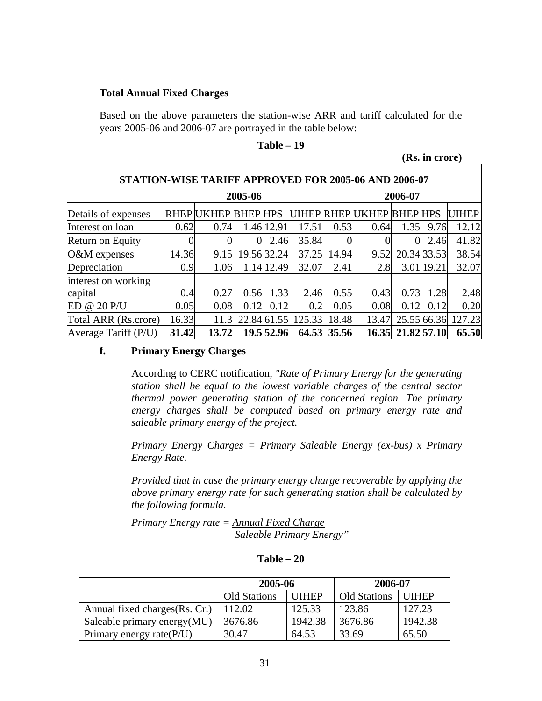### **Total Annual Fixed Charges**

Based on the above parameters the station-wise ARR and tariff calculated for the years 2005-06 and 2006-07 are portrayed in the table below:

|                                                      |       |                            |             |             |        |             |                           |          | (Rs. in crore) |              |
|------------------------------------------------------|-------|----------------------------|-------------|-------------|--------|-------------|---------------------------|----------|----------------|--------------|
| STATION-WISE TARIFF APPROVED FOR 2005-06 AND 2006-07 |       |                            |             |             |        |             |                           |          |                |              |
|                                                      |       |                            | 2005-06     |             |        |             |                           | 2006-07  |                |              |
| Details of expenses                                  |       | <b>RHEP UKHEP BHEP HPS</b> |             |             |        |             | UIHEP RHEP UKHEP BHEP HPS |          |                | <b>UIHEP</b> |
| Interest on loan                                     | 0.62  | 0.74                       |             | 1.46 12.91  | 17.51  | 0.53        | 0.64                      | 1.35     | 9.76           | 12.12        |
| <b>Return on Equity</b>                              |       |                            | 0           | 2.46        | 35.84  |             |                           | $\Omega$ | 2.46           | 41.82        |
| O&M expenses                                         | 14.36 | 9.15                       |             | 19.56 32.24 | 37.25  | 14.94       | 9.52                      |          | 20.34 33.53    | 38.54        |
| Depreciation                                         | 0.9   | 1.06                       |             | 1.14 12.49  | 32.07  | 2.41        | 2.8                       |          | 3.01 19.21     | 32.07        |
| interest on working                                  |       |                            |             |             |        |             |                           |          |                |              |
| capital                                              | 0.4   | 0.27                       | 0.56        | 1.33        | 2.46   | 0.55        | 0.43                      | 0.73     | 1.28           | 2.48         |
| ED @ 20 P/U                                          | 0.05  | 0.08                       | 0.12        | 0.12        | 0.2    | 0.05        | 0.08                      | 0.12     | 0.12           | 0.20         |
| Total ARR (Rs.crore)                                 | 16.33 | 11.3                       | 22.84 61.55 |             | 125.33 | 18.48       | 13.47                     |          | 25.55 66.36    | 127.23       |
| Average Tariff (P/U)                                 | 31.42 | 13.72                      |             | 19.5 52.96  |        | 64.53 35.56 | 16.35                     |          | 21.82 57.10    | 65.50        |

#### **Table – 19**

## **f. Primary Energy Charges**

According to CERC notification, *"Rate of Primary Energy for the generating station shall be equal to the lowest variable charges of the central sector thermal power generating station of the concerned region. The primary energy charges shall be computed based on primary energy rate and saleable primary energy of the project.* 

*Primary Energy Charges = Primary Saleable Energy (ex-bus) x Primary Energy Rate.* 

*Provided that in case the primary energy charge recoverable by applying the above primary energy rate for such generating station shall be calculated by the following formula.* 

*Primary Energy rate = Annual Fixed Charge Saleable Primary Energy"* 

|                                | 2005-06             |              | 2006-07             |              |
|--------------------------------|---------------------|--------------|---------------------|--------------|
|                                | <b>Old Stations</b> | <b>UIHEP</b> | <b>Old Stations</b> | <b>UIHEP</b> |
| Annual fixed charges (Rs. Cr.) | 112.02              | 125.33       | 123.86              | 127.23       |
| Saleable primary energy (MU)   | 3676.86             | 1942.38      | 3676.86             | 1942.38      |
| Primary energy rate $(P/U)$    | 30.47               | 64.53        | 33.69               | 65.50        |

#### **Table – 20**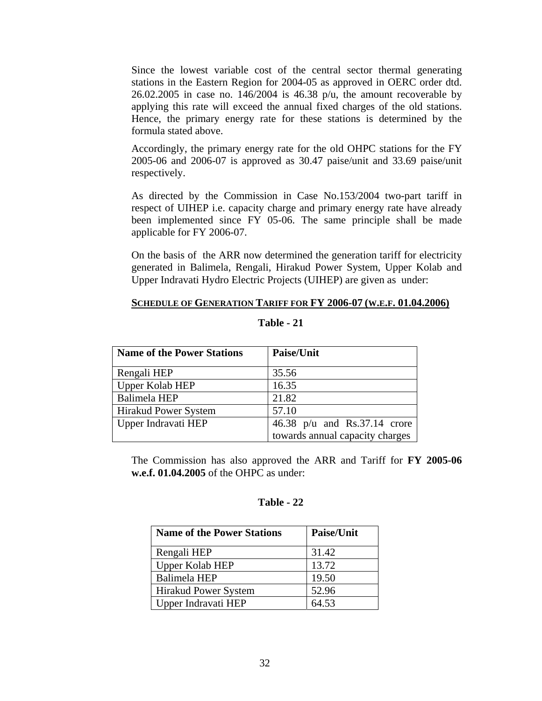Since the lowest variable cost of the central sector thermal generating stations in the Eastern Region for 2004-05 as approved in OERC order dtd.  $26.02.2005$  in case no. 146/2004 is 46.38 p/u, the amount recoverable by applying this rate will exceed the annual fixed charges of the old stations. Hence, the primary energy rate for these stations is determined by the formula stated above.

Accordingly, the primary energy rate for the old OHPC stations for the FY 2005-06 and 2006-07 is approved as 30.47 paise/unit and 33.69 paise/unit respectively.

As directed by the Commission in Case No.153/2004 two-part tariff in respect of UIHEP i.e. capacity charge and primary energy rate have already been implemented since FY 05-06. The same principle shall be made applicable for FY 2006-07.

On the basis of the ARR now determined the generation tariff for electricity generated in Balimela, Rengali, Hirakud Power System, Upper Kolab and Upper Indravati Hydro Electric Projects (UIHEP) are given as under:

#### **SCHEDULE OF GENERATION TARIFF FOR FY 2006-07 (W.E.F. 01.04.2006)**

| <b>Name of the Power Stations</b> | <b>Paise/Unit</b>               |  |  |
|-----------------------------------|---------------------------------|--|--|
| Rengali HEP                       | 35.56                           |  |  |
| Upper Kolab HEP                   | 16.35                           |  |  |
| <b>Balimela HEP</b>               | 21.82                           |  |  |
| <b>Hirakud Power System</b>       | 57.10                           |  |  |
| Upper Indravati HEP               | 46.38 $p/u$ and Rs.37.14 crore  |  |  |
|                                   | towards annual capacity charges |  |  |

## **Table - 21**

The Commission has also approved the ARR and Tariff for **FY 2005-06 w.e.f. 01.04.2005** of the OHPC as under:

### **Table - 22**

| <b>Name of the Power Stations</b> | <b>Paise/Unit</b> |
|-----------------------------------|-------------------|
| Rengali HEP                       | 31.42             |
| <b>Upper Kolab HEP</b>            | 13.72             |
| Balimela HEP                      | 19.50             |
| <b>Hirakud Power System</b>       | 52.96             |
| Upper Indravati HEP               | 64.53             |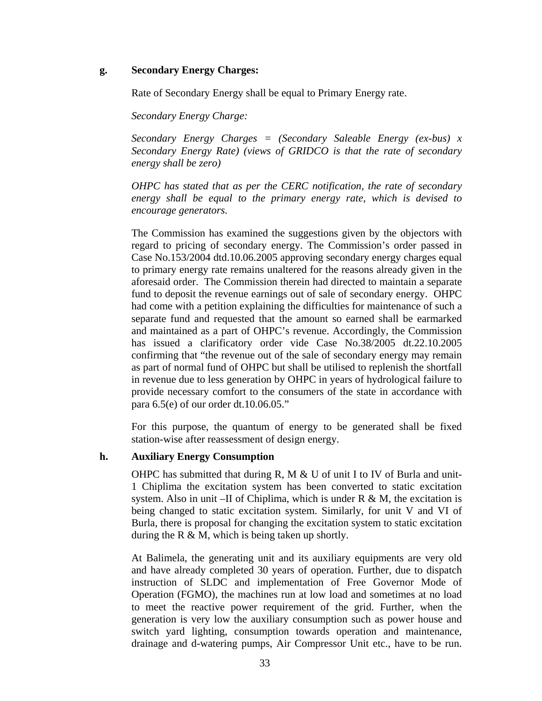## **g. Secondary Energy Charges:**

Rate of Secondary Energy shall be equal to Primary Energy rate.

*Secondary Energy Charge:* 

*Secondary Energy Charges = (Secondary Saleable Energy (ex-bus) x Secondary Energy Rate) (views of GRIDCO is that the rate of secondary energy shall be zero)* 

*OHPC has stated that as per the CERC notification, the rate of secondary energy shall be equal to the primary energy rate, which is devised to encourage generators.* 

The Commission has examined the suggestions given by the objectors with regard to pricing of secondary energy. The Commission's order passed in Case No.153/2004 dtd.10.06.2005 approving secondary energy charges equal to primary energy rate remains unaltered for the reasons already given in the aforesaid order. The Commission therein had directed to maintain a separate fund to deposit the revenue earnings out of sale of secondary energy. OHPC had come with a petition explaining the difficulties for maintenance of such a separate fund and requested that the amount so earned shall be earmarked and maintained as a part of OHPC's revenue. Accordingly, the Commission has issued a clarificatory order vide Case No.38/2005 dt.22.10.2005 confirming that "the revenue out of the sale of secondary energy may remain as part of normal fund of OHPC but shall be utilised to replenish the shortfall in revenue due to less generation by OHPC in years of hydrological failure to provide necessary comfort to the consumers of the state in accordance with para 6.5(e) of our order dt.10.06.05."

For this purpose, the quantum of energy to be generated shall be fixed station-wise after reassessment of design energy.

## **h. Auxiliary Energy Consumption**

OHPC has submitted that during R, M  $&$  U of unit I to IV of Burla and unit-1 Chiplima the excitation system has been converted to static excitation system. Also in unit –II of Chiplima, which is under  $R \& M$ , the excitation is being changed to static excitation system. Similarly, for unit V and VI of Burla, there is proposal for changing the excitation system to static excitation during the R  $\&$  M, which is being taken up shortly.

At Balimela, the generating unit and its auxiliary equipments are very old and have already completed 30 years of operation. Further, due to dispatch instruction of SLDC and implementation of Free Governor Mode of Operation (FGMO), the machines run at low load and sometimes at no load to meet the reactive power requirement of the grid. Further, when the generation is very low the auxiliary consumption such as power house and switch yard lighting, consumption towards operation and maintenance, drainage and d-watering pumps, Air Compressor Unit etc., have to be run.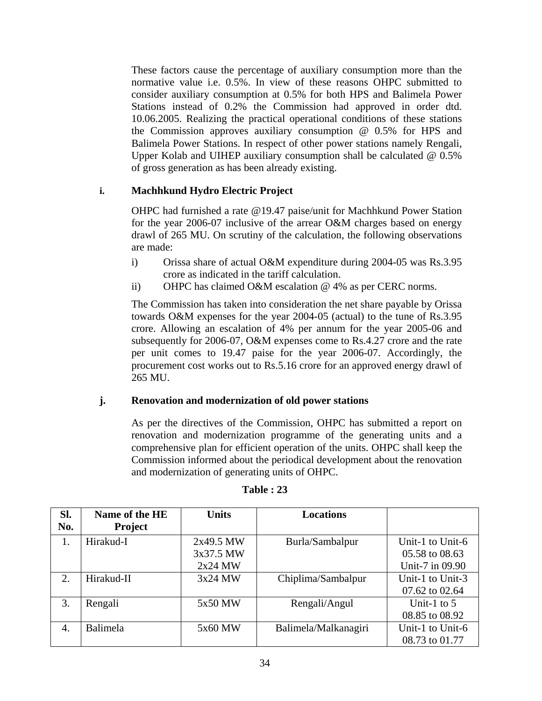These factors cause the percentage of auxiliary consumption more than the normative value i.e. 0.5%. In view of these reasons OHPC submitted to consider auxiliary consumption at 0.5% for both HPS and Balimela Power Stations instead of 0.2% the Commission had approved in order dtd. 10.06.2005. Realizing the practical operational conditions of these stations the Commission approves auxiliary consumption @ 0.5% for HPS and Balimela Power Stations. In respect of other power stations namely Rengali, Upper Kolab and UIHEP auxiliary consumption shall be calculated @ 0.5% of gross generation as has been already existing.

## **i. Machhkund Hydro Electric Project**

OHPC had furnished a rate @19.47 paise/unit for Machhkund Power Station for the year 2006-07 inclusive of the arrear O&M charges based on energy drawl of 265 MU. On scrutiny of the calculation, the following observations are made:

- i) Orissa share of actual O&M expenditure during 2004-05 was Rs.3.95 crore as indicated in the tariff calculation.
- ii) OHPC has claimed O&M escalation @ 4% as per CERC norms.

The Commission has taken into consideration the net share payable by Orissa towards O&M expenses for the year 2004-05 (actual) to the tune of Rs.3.95 crore. Allowing an escalation of 4% per annum for the year 2005-06 and subsequently for 2006-07, O&M expenses come to Rs.4.27 crore and the rate per unit comes to 19.47 paise for the year 2006-07. Accordingly, the procurement cost works out to Rs.5.16 crore for an approved energy drawl of 265 MU.

## **j. Renovation and modernization of old power stations**

As per the directives of the Commission, OHPC has submitted a report on renovation and modernization programme of the generating units and a comprehensive plan for efficient operation of the units. OHPC shall keep the Commission informed about the periodical development about the renovation and modernization of generating units of OHPC.

| SI. | Name of the HE | <b>Units</b> | <b>Locations</b>     |                  |
|-----|----------------|--------------|----------------------|------------------|
| No. | <b>Project</b> |              |                      |                  |
| 1.  | Hirakud-I      | 2x49.5 MW    | Burla/Sambalpur      | Unit-1 to Unit-6 |
|     |                | 3x37.5 MW    |                      | 05.58 to 08.63   |
|     |                | $2x24$ MW    |                      | Unit-7 in 09.90  |
| 2.  | Hirakud-II     | 3x24 MW      | Chiplima/Sambalpur   | Unit-1 to Unit-3 |
|     |                |              |                      | 07.62 to 02.64   |
| 3.  | Rengali        | 5x50 MW      | Rengali/Angul        | Unit-1 to $5$    |
|     |                |              |                      | 08.85 to 08.92   |
| 4.  | Balimela       | 5x60 MW      | Balimela/Malkanagiri | Unit-1 to Unit-6 |
|     |                |              |                      | 08.73 to 01.77   |

#### **Table : 23**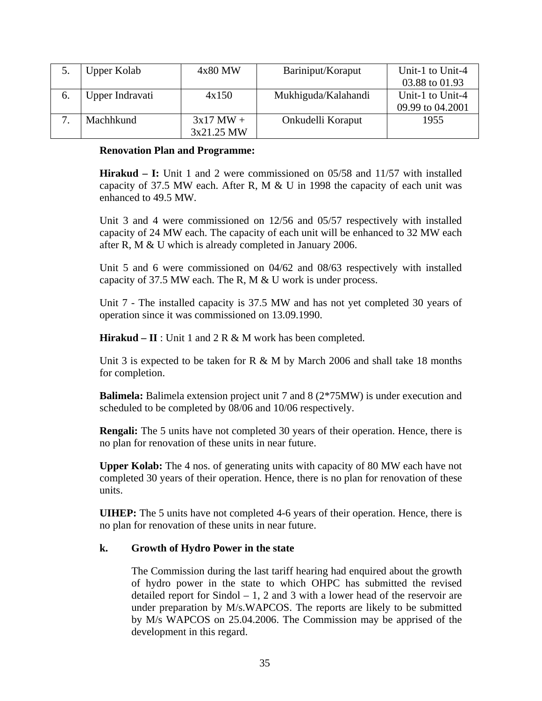|    | Upper Kolab     | 4x80 MW     | Bariniput/Koraput   | Unit-1 to Unit-4 |
|----|-----------------|-------------|---------------------|------------------|
|    |                 |             |                     | 03.88 to 01.93   |
| 6. | Upper Indravati | 4x150       | Mukhiguda/Kalahandi | Unit-1 to Unit-4 |
|    |                 |             |                     | 09.99 to 04.2001 |
|    | Machhkund       | $3x17$ MW + | Onkudelli Koraput   | 1955             |
|    |                 | 3x21.25 MW  |                     |                  |

#### **Renovation Plan and Programme:**

**Hirakud – I:** Unit 1 and 2 were commissioned on 05/58 and 11/57 with installed capacity of 37.5 MW each. After R, M & U in 1998 the capacity of each unit was enhanced to 49.5 MW.

Unit 3 and 4 were commissioned on 12/56 and 05/57 respectively with installed capacity of 24 MW each. The capacity of each unit will be enhanced to 32 MW each after R, M & U which is already completed in January 2006.

Unit 5 and 6 were commissioned on 04/62 and 08/63 respectively with installed capacity of 37.5 MW each. The R, M & U work is under process.

Unit 7 - The installed capacity is 37.5 MW and has not yet completed 30 years of operation since it was commissioned on 13.09.1990.

**Hirakud – II** : Unit 1 and 2 R & M work has been completed.

Unit 3 is expected to be taken for R  $\&$  M by March 2006 and shall take 18 months for completion.

**Balimela:** Balimela extension project unit 7 and 8 (2\*75MW) is under execution and scheduled to be completed by 08/06 and 10/06 respectively.

**Rengali:** The 5 units have not completed 30 years of their operation. Hence, there is no plan for renovation of these units in near future.

**Upper Kolab:** The 4 nos. of generating units with capacity of 80 MW each have not completed 30 years of their operation. Hence, there is no plan for renovation of these units.

**UIHEP:** The 5 units have not completed 4-6 years of their operation. Hence, there is no plan for renovation of these units in near future.

## **k. Growth of Hydro Power in the state**

The Commission during the last tariff hearing had enquired about the growth of hydro power in the state to which OHPC has submitted the revised detailed report for Sindol  $-1$ , 2 and 3 with a lower head of the reservoir are under preparation by M/s.WAPCOS. The reports are likely to be submitted by M/s WAPCOS on 25.04.2006. The Commission may be apprised of the development in this regard.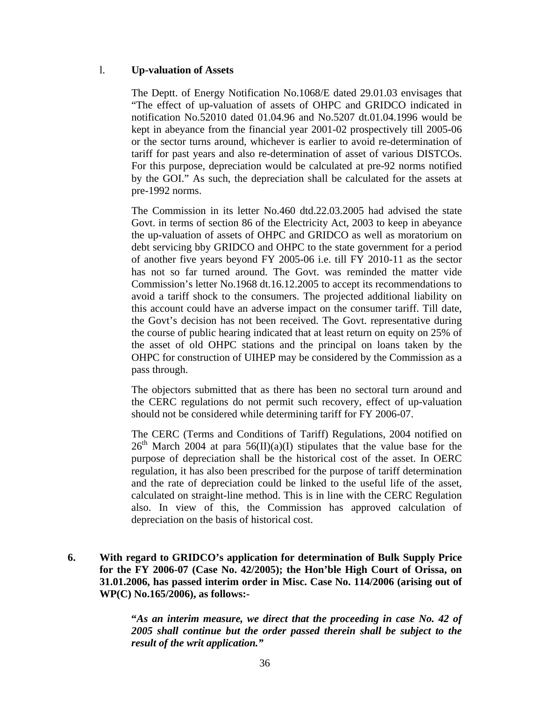## l. **Up-valuation of Assets**

The Deptt. of Energy Notification No.1068/E dated 29.01.03 envisages that "The effect of up-valuation of assets of OHPC and GRIDCO indicated in notification No.52010 dated 01.04.96 and No.5207 dt.01.04.1996 would be kept in abeyance from the financial year 2001-02 prospectively till 2005-06 or the sector turns around, whichever is earlier to avoid re-determination of tariff for past years and also re-determination of asset of various DISTCOs. For this purpose, depreciation would be calculated at pre-92 norms notified by the GOI." As such, the depreciation shall be calculated for the assets at pre-1992 norms.

The Commission in its letter No.460 dtd.22.03.2005 had advised the state Govt. in terms of section 86 of the Electricity Act, 2003 to keep in abeyance the up-valuation of assets of OHPC and GRIDCO as well as moratorium on debt servicing bby GRIDCO and OHPC to the state government for a period of another five years beyond FY 2005-06 i.e. till FY 2010-11 as the sector has not so far turned around. The Govt. was reminded the matter vide Commission's letter No.1968 dt.16.12.2005 to accept its recommendations to avoid a tariff shock to the consumers. The projected additional liability on this account could have an adverse impact on the consumer tariff. Till date, the Govt's decision has not been received. The Govt. representative during the course of public hearing indicated that at least return on equity on 25% of the asset of old OHPC stations and the principal on loans taken by the OHPC for construction of UIHEP may be considered by the Commission as a pass through.

The objectors submitted that as there has been no sectoral turn around and the CERC regulations do not permit such recovery, effect of up-valuation should not be considered while determining tariff for FY 2006-07.

The CERC (Terms and Conditions of Tariff) Regulations, 2004 notified on  $26<sup>th</sup>$  March 2004 at para 56(II)(a)(I) stipulates that the value base for the purpose of depreciation shall be the historical cost of the asset. In OERC regulation, it has also been prescribed for the purpose of tariff determination and the rate of depreciation could be linked to the useful life of the asset, calculated on straight-line method. This is in line with the CERC Regulation also. In view of this, the Commission has approved calculation of depreciation on the basis of historical cost.

**6. With regard to GRIDCO's application for determination of Bulk Supply Price for the FY 2006-07 (Case No. 42/2005); the Hon'ble High Court of Orissa, on 31.01.2006, has passed interim order in Misc. Case No. 114/2006 (arising out of WP(C) No.165/2006), as follows:-** 

> **"***As an interim measure, we direct that the proceeding in case No. 42 of 2005 shall continue but the order passed therein shall be subject to the result of the writ application."*